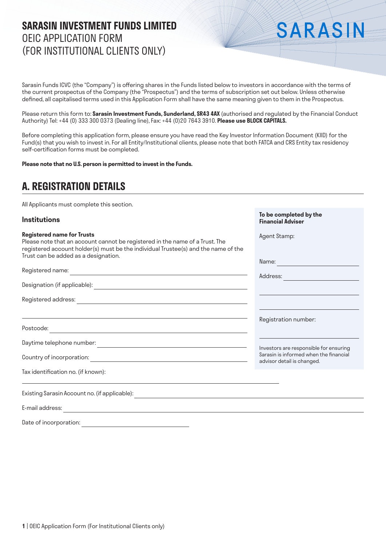### **SARASIN INVESTMENT FUNDS LIMITED** OEIC APPLICATION FORM (FOR INSTITUTIONAL CLIENTS ONLY)

# **SARASIN**

**To be completed by the Financial Adviser**

Sarasin Funds ICVC (the "Company") is offering shares in the Funds listed below to investors in accordance with the terms of the current prospectus of the Company (the "Prospectus") and the terms of subscription set out below. Unless otherwise defined, all capitalised terms used in this Application Form shall have the same meaning given to them in the Prospectus.

Please return this form to: **Sarasin Investment Funds, Sunderland, SR43 4AX** (authorised and regulated by the Financial Conduct Authority) Tel: +44 (0) 333 300 0373 (Dealing line), Fax: +44 (0)20 7643 3910. **Please use BLOCK CAPITALS.**

Before completing this application form, please ensure you have read the Key Investor Information Document (KIID) for the Fund(s) that you wish to invest in. For all Entity/Institutional clients, please note that both FATCA and CRS Entity tax residency self-certification forms must be completed.

**Please note that no U.S. person is permitted to invest in the Funds.** 

### **A. REGISTRATION DETAILS**

All Applicants must complete this section.

### **Institutions**

| <b>Registered name for Trusts</b><br>Please note that an account cannot be registered in the name of a Trust. The<br>registered account holder(s) must be the individual Trustee(s) and the name of the<br>Trust can be added as a designation. | Agent Stamp:<br>Address:                                                                                                               |
|-------------------------------------------------------------------------------------------------------------------------------------------------------------------------------------------------------------------------------------------------|----------------------------------------------------------------------------------------------------------------------------------------|
|                                                                                                                                                                                                                                                 | Registration number:<br>Investors are responsible for ensuring<br>Sarasin is informed when the financial<br>advisor detail is changed. |
| Tax identification no. (if known):<br>Existing Sarasin Account no. (if applicable): __________________________________                                                                                                                          |                                                                                                                                        |
| E-mail address:                                                                                                                                                                                                                                 |                                                                                                                                        |
| Date of incorporation:                                                                                                                                                                                                                          |                                                                                                                                        |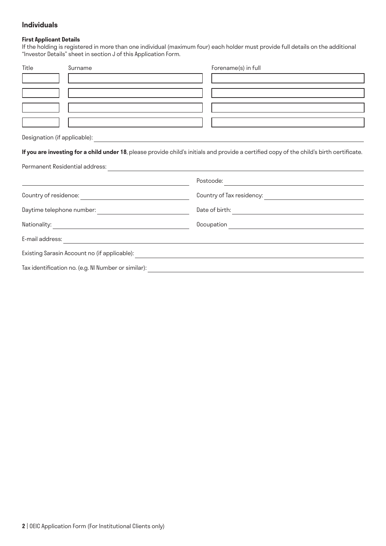### **Individuals**

#### **First Applicant Details**

If the holding is registered in more than one individual (maximum four) each holder must provide full details on the additional "Investor Details" sheet in section J of this Application Form.

| Title | Surname                                                                                                                                                                                                                       | Forename(s) in full                                                                                                                                                                                                           |
|-------|-------------------------------------------------------------------------------------------------------------------------------------------------------------------------------------------------------------------------------|-------------------------------------------------------------------------------------------------------------------------------------------------------------------------------------------------------------------------------|
|       |                                                                                                                                                                                                                               | <u> Andreas Andreas Andreas Andreas Andreas Andreas Andreas Andreas Andreas Andreas Andreas Andreas Andreas Andr</u>                                                                                                          |
|       |                                                                                                                                                                                                                               |                                                                                                                                                                                                                               |
|       | the control of the control of the control of the control of the control of the control of the control of the control of the control of the control of the control of the control of the control of the control of the control | the control of the control of the control of the control of the control of the control of the control of the control of the control of the control of the control of the control of the control of the control of the control |
|       | the control of the control of the control of the control of the control of the control of                                                                                                                                     | the control of the control of the control of the control of the control of the control of                                                                                                                                     |
|       |                                                                                                                                                                                                                               |                                                                                                                                                                                                                               |
|       |                                                                                                                                                                                                                               |                                                                                                                                                                                                                               |
|       |                                                                                                                                                                                                                               |                                                                                                                                                                                                                               |
|       |                                                                                                                                                                                                                               | If you are investing for a child under 18, please provide child's initials and provide a certified copy of the child's birth certificate.                                                                                     |
|       | Permanent Residential address:                                                                                                                                                                                                | <u> 1980 - Andrea Andrew Maria (h. 1980).</u>                                                                                                                                                                                 |
|       |                                                                                                                                                                                                                               |                                                                                                                                                                                                                               |
|       |                                                                                                                                                                                                                               |                                                                                                                                                                                                                               |
|       |                                                                                                                                                                                                                               |                                                                                                                                                                                                                               |
|       |                                                                                                                                                                                                                               |                                                                                                                                                                                                                               |
|       |                                                                                                                                                                                                                               |                                                                                                                                                                                                                               |
|       |                                                                                                                                                                                                                               | Existing Sarasin Account no (if applicable): ___________________________________                                                                                                                                              |
|       |                                                                                                                                                                                                                               | Tax identification no. (e.g. NI Number or similar):                                                                                                                                                                           |
|       |                                                                                                                                                                                                                               |                                                                                                                                                                                                                               |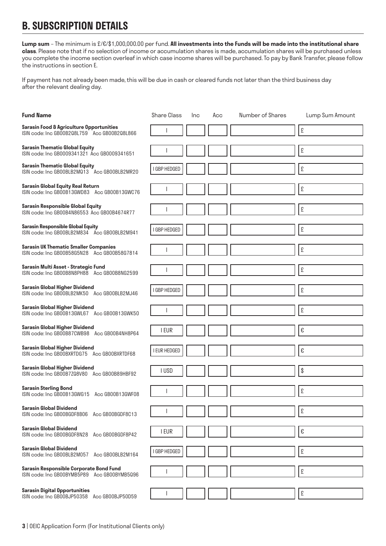# **B. SUBSCRIPTION DETAILS**

**Lump sum** – The minimum is £/€/\$1,000,000.00 per fund. **All investments into the Funds will be made into the institutional share class**. Please note that if no selection of income or accumulation shares is made, accumulation shares will be purchased unless you complete the income section overleaf in which case income shares will be purchased. To pay by Bank Transfer, please follow the instructions in section E.

If payment has not already been made, this will be due in cash or cleared funds not later than the third business day after the relevant dealing day.

| <b>Fund Name</b>                                                                             | <b>Share Class</b> | <b>Inc</b> | Acc | Number of Shares | Lump Sum Amount |
|----------------------------------------------------------------------------------------------|--------------------|------------|-----|------------------|-----------------|
| Sarasin Food & Agriculture Opportunities<br>ISIN code: Inc GB00B208L759 Acc GB00B208L866     |                    |            |     |                  | £               |
| Sarasin Thematic Global Equity<br>ISIN code: Inc GB0009341321 Acc GB0009341651               |                    |            |     |                  | £               |
| Sarasin Thematic Global Equity<br>ISIN code: Inc GB00BLB2MQ13 Acc GB00BLB2MR20               | I GBP HEDGED       |            |     |                  | £               |
| Sarasin Global Equity Real Return<br>ISIN code: Inc GB00B13GWD83 Acc GB00B13GWC76            |                    |            |     |                  | £               |
| Sarasin Responsible Global Equity<br>ISIN code: Inc GB00B4N86553 Acc GB00B4674R77            |                    |            |     |                  | £               |
| Sarasin Responsible Global Equity<br>ISIN code: Inc GB00BLB2M834 Acc GB00BLB2M941            | I GBP HEDGED       |            |     |                  | £               |
| <b>Sarasin UK Thematic Smaller Companies</b><br>ISIN code: Inc GB00B58G5N28 Acc GB00B58G7814 |                    |            |     |                  | £               |
| Sarasin Multi Asset - Strategic Fund<br>ISIN code: Inc GB00B8N8PH88 Acc GB00B8NG2599         |                    |            |     |                  | £               |
| Sarasin Global Higher Dividend<br>ISIN code: Inc GB00BLB2MK50 Acc GB00BLB2MJ46               | <b>GBP HEDGED</b>  |            |     |                  | £               |
| Sarasin Global Higher Dividend<br>ISIN code: Inc GB00B13GWL67 Acc GB00B13GWK50               |                    |            |     |                  | £               |
| Sarasin Global Higher Dividend<br>ISIN code: Inc GB00B87CWB98 Acc GB00B4NH8P64               | <b>I EUR</b>       |            |     |                  | €               |
| Sarasin Global Higher Dividend<br>ISIN code: Inc GB00BXRTDG75 Acc GB00BXRTDF68               | I EUR HEDGED       |            |     |                  | €               |
| Sarasin Global Higher Dividend<br>ISIN code: Inc GB00B7ZQ8V80 Acc GB00B89HBF92               | <b>IUSD</b>        |            |     |                  | \$              |
| <b>Sarasin Sterling Bond</b><br>ISIN code: Inc GB00B13GWG15 Acc GB00B13GWF08                 |                    |            |     |                  | £               |
| Sarasin Global Dividend<br>ISIN code: Inc GB00BGDF8B06<br>Acc GB00BGDF8C13                   |                    |            |     |                  | £               |
| Sarasin Global Dividend<br>ISIN code: Inc GB00BGDF8N28<br>Acc GB00BGDF8P42                   | <b>I EUR</b>       |            |     |                  | €               |
| <b>Sarasin Global Dividend</b><br>ISIN code: Inc GB00BLB2M057<br>Acc GB00BLB2M164            | I GBP HEDGED       |            |     |                  | £               |
| Sarasin Responsible Corporate Bond Fund<br>ISIN code: Inc GB00BYMB5P89 Acc GB00BYMB5096      |                    |            |     |                  | £               |
| <b>Sarasin Digital Opportunities</b><br>ISIN code: Inc GB00BJP50358 Acc GB00BJP50D59         |                    |            |     |                  | £               |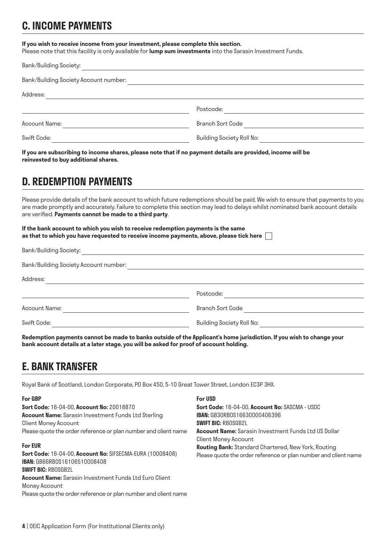# **C. INCOME PAYMENTS**

#### **If you wish to receive income from your investment, please complete this section.**

Please note that this facility is only available for **lump sum investments** into the Sarasin Investment Funds.

| Bank/Building Society:                |                                  |
|---------------------------------------|----------------------------------|
| Bank/Building Society Account number: |                                  |
| Address:                              |                                  |
|                                       | Postcode:                        |
| Account Name:                         | <b>Branch Sort Code</b>          |
| Swift Code:                           | <b>Building Society Roll No:</b> |

**If you are subscribing to income shares, please note that if no payment details are provided, income will be reinvested to buy additional shares.**

### **D. REDEMPTION PAYMENTS**

Please provide details of the bank account to which future redemptions should be paid. We wish to ensure that payments to you are made promptly and accurately. Failure to complete this section may lead to delays whilst nominated bank account details are verified. **Payments cannot be made to a third party**.

| If the bank account to which you wish to receive redemption payments is the same               |  |
|------------------------------------------------------------------------------------------------|--|
| as that to which you have requested to receive income payments, above, please tick here $\Box$ |  |

| Bank/Building Society:                |                                  |
|---------------------------------------|----------------------------------|
| Bank/Building Society Account number: |                                  |
| Address:                              |                                  |
|                                       | Postcode:                        |
| Account Name:                         | <b>Branch Sort Code</b>          |
| Swift Code:                           | <b>Building Society Roll No:</b> |

**Redemption payments cannot be made to banks outside of the Applicant's home jurisdiction. If you wish to change your bank account details at a later stage, you will be asked for proof of account holding.**

# **E. BANK TRANSFER**

Royal Bank of Scotland, London Corporate, PO Box 450, 5-10 Great Tower Street, London EC3P 3HX.

#### **For GBP**

| Sort Code: 16-04-00, Account No: 20018870                        | Sort        |
|------------------------------------------------------------------|-------------|
| <b>Account Name:</b> Sarasin Investment Funds Ltd Sterling       | <b>IBAN</b> |
| Client Money Account                                             | <b>SWII</b> |
| Please quote the order reference or plan number and client name  | Acc         |
| <b>For EUR</b>                                                   | Clie<br>Rou |
| <b>Sort Code: 16-04-00, Account No: SIFSECMA-EURA (10008408)</b> | Plea        |
| <b>IBAN: GB66RB0S16106510008408</b>                              |             |
| <b>SWIFT BIC: RBOSGB2L</b>                                       |             |
| Account Name: Sarasin Investment Funds Ltd Euro Client           |             |

Money Account

Please quote the order reference or plan number and client name

#### **For USD**

**Sort Code:** 16-04-00, **Account No:** SASCMA - USDC **IBAN:** GB30RBOS16630000406396 **SWIFT BIC:** RBOSGB2L **Account Name:** Sarasin Investment Funds Ltd US Dollar nt Money Account **ting Bank:** Standard Chartered, New York, Routing ise quote the order reference or plan number and client name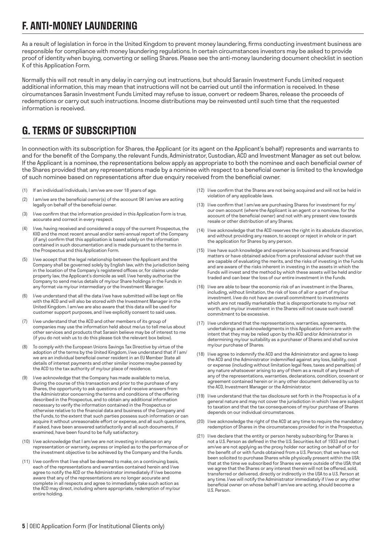# **F. ANTI-MONEY LAUNDERING**

As a result of legislation in force in the United Kingdom to prevent money laundering, firms conducting investment business are responsible for compliance with money laundering regulations. In certain circumstances investors may be asked to provide proof of identity when buying, converting or selling Shares. Please see the anti-money laundering document checklist in section K of this Application Form.

Normally this will not result in any delay in carrying out instructions, but should Sarasin Investment Funds Limited request additional information, this may mean that instructions will not be carried out until the information is received. In these circumstances Sarasin Investment Funds Limited may refuse to issue, convert or redeem Shares, release the proceeds of redemptions or carry out such instructions. Income distributions may be reinvested until such time that the requested information is received.

# **G. TERMS OF SUBSCRIPTION**

In connection with its subscription for Shares, the Applicant (or its agent on the Applicant's behalf) represents and warrants to and for the benefit of the Company, the relevant Funds, Administrator, Custodian, ACD and Investment Manager as set out below. If the Applicant is a nominee, the representations below apply as appropriate to both the nominee and each beneficial owner of the Shares provided that any representations made by a nominee with respect to a beneficial owner is limited to the knowledge of such nominee based on representations after due enquiry received from the beneficial owner.

- (1) If an individual/individuals, I am/we are over 18 years of age.
- I am/we are the beneficial owner(s) of the account OR I am/we are acting legally on behalf of the beneficial owner.
- I/we confirm that the information provided in this Application Form is true, accurate and correct in every respect.
- l/we, having received and considered a copy of the current Prospectus, the KIID and the most recent annual and/or semi-annual report of the Company (if any) confirm that this application is based solely on the information contained in such documentation and is made pursuant to the terms in the Prospectus and this Application Form.
- I/we accept that the legal relationship between the Applicant and the Company shall be governed solely by English law, with the jurisdiction being in the location of the Company's registered offices or, for claims under property law, the Applicant's domicile as well. I/we hereby authorise the Company to send me/us details of my/our Share holdings in the Funds in any format via my/our intermediary or the Investment Manager.
- I/we understand that all the data I/we have submitted will be kept on file with the ACD and will also be stored with the Investment Manager in the United Kingdom. I am/we are also aware that this data will be used for customer support purposes, and I/we explicitly consent to said uses.
- (7) I/we understand that the ACD and other members of its group of companies may use the information held about me/us to tell me/us about other services and products that Sarasin believe may be of interest to me (if you do not wish us to do this please tick the relevant box below).
- To comply with the European Unions Savings Tax Directive by virtue of the adoption of the terms by the United Kingdom, I/we understand that if I am/ we are an individual beneficial owner resident in an EU Member State all details of interest payments and other similar income maybe passed by the ACD to the tax authority of my/our place of residence.
- (9) I/we acknowledge that the Company has made available to me/us, during the course of this transaction and prior to the purchase of any Shares, the opportunity to ask questions of and receive answers from the Administrator concerning the terms and conditions of the offering described in the Prospectus, and to obtain any additional information necessary to verify the information contained in the Prospectus or otherwise relative to the financial data and business of the Company and the Funds, to the extent that such parties possess such information or can acquire it without unreasonable effort or expense, and all such questions, if asked, have been answered satisfactorily and all such documents, if examined, have been found to be fully satisfactory.
- (10) I/we acknowledge that I am/we are not investing in reliance on any representation or warranty, express or implied as to the performance of or the investment objective to be achieved by the Company and the Funds.
- (11) I/we confirm that I/we shall be deemed to make, on a continuing basis, each of the representations and warranties contained herein and I/we agree to notify the ACD or the Administrator immediately if I/we become aware that any of the representations are no longer accurate and complete in all respects and agree to immediately take such action as the ACD may direct, including where appropriate, redemption of my/our entire holding.
- (12) I/we confirm that the Shares are not being acquired and will not be held in violation of any applicable laws.
- (13) I/we confirm that I am/we are purchasing Shares for investment for my/ our own account (where the Applicant is an agent or a nominee, for the account of the beneficial owner) and not with any present view towards resale or other distribution of any Shares.
- (14) I/we acknowledge that the ACD reserves the right in its absolute discretion, and without providing any reason, to accept or reject in whole or in part the application for Shares by any person.
- (15) I/we have such knowledge and experience in business and financial matters or have obtained advice from a professional adviser such that we are capable of evaluating the merits, and the risks of investing in the Funds and are aware of the risks inherent in investing in the assets in which the Funds will invest and the method by which these assets will be held and/or traded and can bear the loss of our entire investment in the Funds.
- (16) I/we are able to bear the economic risk of an investment in the Shares, including, without limitation, the risk of loss of all or a part of my/our investment. I/we do not have an overall commitment to investments which are not readily marketable that is disproportionate to my/our net worth, and my/our investment in the Shares will not cause such overall commitment to be excessive.
- (17) I/we understand that the representations, warranties, agreements, undertakings and acknowledgments in this Application Form are with the intent that they may be relied upon by the ACD and/or Administrator in determining my/our suitability as a purchaser of Shares and shall survive my/our purchase of Shares.
- (18) I/we agree to indemnify the ACD and the Administrator and agree to keep the ACD and the Administrator indemnified against any loss, liability, cost or expense (including without limitation legal fees, taxes and penalties) of any nature whatsoever arising to any of them as a result of any breach of any of the representations, warranties, declarations, condition, covenant or agreement contained herein or in any other document delivered by us to the ACD, Investment Manager or the Administrator.
- (19) I/we understand that the tax disclosure set forth in the Prospectus is of a general nature and may not cover the jurisdiction in which I/we are subject to taxation and that the tax consequences of my/our purchase of Shares depends on our individual circumstances.
- (20) I/we acknowledge the right of the ACD at any time to require the mandatory redemption of Shares in the circumstances provided for in the Prospectus.
- (21) I/we declare that the entity or person hereby subscribing for Shares is not a U.S. Person as defined in the the U.S. Securities Act of 1933 and that I am/we are not applying as the proxy holder nor acting on behalf of or for the benefit of or with funds obtained from a U.S. Person; that we have not been solicited to purchase Shares while physically present within the USA; that at the time we subscribed for Shares we were outside of the USA; that we agree that the Shares or any interest therein will not be offered, sold, transferred or delivered, directly or indirectly in the USA to a U.S. Person at any time. I/we will notify the Administrator immediately if I/we or any other beneficial owner on whose behalf I am/we are acting, should become a U.S. Person.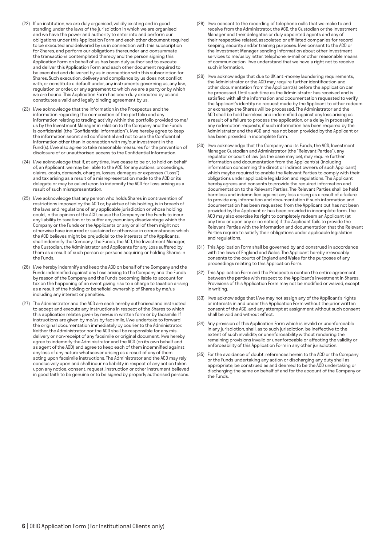- (22) If an institution, we are duly organised, validly existing and in good standing under the laws of the jurisdiction in which we are organised and we have the power and authority to enter into and perform our obligations under this Application Form and each other document required to be executed and delivered by us in connection with this subscription for Shares, and perform our obligations thereunder and consummate the transactions contemplated thereby and the person signing this Application Form on behalf of us has been duly authorised to execute and deliver this Application Form and each other document required to be executed and delivered by us in connection with this subscription for Shares. Such execution, delivery and compliance by us does not conflict with, or constitute a default under, any instruments governing us, any law, regulation or order, or any agreement to which we are a party or by which we are bound. This Application Form has been duly executed by us and constitutes a valid and legally binding agreement by us.
- (23) I/we acknowledge that the information in the Prospectus and the information regarding the composition of the portfolio and any information relating to trading activity within the portfolio provided to me/ us by the Investment Manager in relation to the Company and the Funds is confidential (the "Confidential Information"). I/we hereby agree to keep the information secret and confidential and not to use the Confidential Information other than in connection with my/our investment in the Fund(s). I/we also agree to take reasonable measures for the prevention of disclosure of or unauthorised access to the Confidential Information.
- (24) I/we acknowledge that if, at any time, I/we cease to be or, to hold on behalf of, an Applicant, we may be liable to the ACD for any actions, proceedings, claims, costs, demands, charges, losses, damages or expenses ("Loss") and tax arising as a result of a misrepresentation made to the ACD or its delegate or may be called upon to indemnify the ACD for Loss arising as a result of such misrepresentation.
- (25) I/we acknowledge that any person who holds Shares in contravention of restrictions imposed by the ACD or, by virtue of his holding, is in breach of the laws and regulations of any applicable jurisdiction or whose holding could, in the opinion of the ACD, cause the Company or the Funds to incur any liability to taxation or to suffer any pecuniary disadvantage which the Company or the Funds or the Applicants or any or all of them might not otherwise have incurred or sustained or otherwise in circumstances which the ACD believes might be prejudicial to the interests of the Applicants, shall indemnify the Company, the Funds, the ACD, the Investment Manager, the Custodian, the Administrator and Applicants for any Loss suffered by them as a result of such person or persons acquiring or holding Shares in the Funds.
- (26) I/we hereby indemnify and keep the ACD on behalf of the Company and the Funds indemnified against any Loss arising to the Company and the Funds by reason of the Company and the Funds becoming liable to account for tax on the happening of an event giving rise to a charge to taxation arising as a result of the holding or beneficial ownership of Shares by me/us including any interest or penalties.
- (27) The Administrator and the ACD are each hereby authorised and instructed to accept and execute any instructions in respect of the Shares to which this application relates given by me/us in written form or by facsimile. If instructions are given by me/us by facsimile, I/we undertake to forward the original documentation immediately by courier to the Administrator. Neither the Administrator nor the ACD shall be responsible for any misdelivery or non-receipt of any facsimile or original document. I/we hereby agree to indemnify the Administrator and the ACD (on its own behalf and as agent of the ACD) and agree to keep each of them indemnified against any loss of any nature whatsoever arising as a result of any of them acting upon facsimile instructions. The Administrator and the ACD may rely conclusively upon and shall incur no liability in respect of any action taken upon any notice, consent, request, instruction or other instrument believed in good faith to be genuine or to be signed by properly authorised persons.
- (28) I/we consent to the recording of telephone calls that we make to and receive from the Administrator, the ACD, the Custodian or the Investment Manager and their delegates or duly appointed agents and any of their respective related, associated or affiliated companies for record keeping, security and/or training purposes. I/we consent to the ACD or the Investment Manager sending information about other investment services to me/us by letter, telephone, e-mail or other reasonable means of communication. I/we understand that we have a right not to receive such information.
- (29) I/we acknowledge that due to UK anti-money laundering requirements, the Administrator or the ACD may require further identification and other documentation from the Applicant(s) before the application can be processed. Until such time as the Administrator has received and is satisfied with all the information and documentation requested to verify the Applicant's identity no request made by the Applicant to either redeem or exchange the Shares will be processed. The Administrator and the ACD shall be held harmless and indemnified against any loss arising as a result of a failure to process the application, or a delay in processing any redemption requests, if such information has been required by the Administrator and the ACD and has not been provided by the Applicant or has been provided in incomplete form.
- (30) I/we acknowledge that the Company and its Funds, the ACD, Investment Manager, Custodian and Administrator (the "Relevant Parties"), any regulator or court of law (as the case may be), may require further information and documentation from the Applicant(s) (including information concerning the direct or indirect owners of such Applicant) which maybe required to enable the Relevant Parties to comply with their obligations under applicable legislation and regulations. The Applicant hereby agrees and consents to provide the required information and documentation to the Relevant Parties. The Relevant Parties shall be held harmless and indemnified against any loss arising as a result of a failure to provide any information and documentation if such information and documentation has been requested from the Applicant but has not been provided by the Applicant or has been provided in incomplete form. The ACD may also exercise its right to completely redeem an Applicant (at any time or upon any or no notice) if the Applicant fails to provide the Relevant Parties with the information and documentation that the Relevant Parties require to satisfy their obligations under applicable legislation and regulations.
- (31) This Application Form shall be governed by and construed in accordance with the laws of England and Wales. The Applicant hereby irrevocably consents to the courts of England and Wales for the purposes of any proceedings relating to this Application Form.
- (32) This Application Form and the Prospectus contain the entire agreement between the parties with respect to the Applicant's investment in Shares. Provisions of this Application Form may not be modified or waived, except in writing.
- (33) I/we acknowledge that I/we may not assign any of the Applicant's rights or interests in and under this Application Form without the prior written consent of the ACD, and any attempt at assignment without such consent shall be void and without effect.
- (34) Any provision of this Application Form which is invalid or unenforceable in any jurisdiction, shall, as to such jurisdiction, be ineffective to the extent of such invalidity or unenforceability without rendering the remaining provisions invalid or unenforceable or affecting the validity or enforceability of this Application Form in any other jurisdiction.
- (35) For the avoidance of doubt, references herein to the ACD or the Company or the Funds undertaking any action or discharging any duty shall as appropriate, be construed as and deemed to be the ACD undertaking or discharging the same on behalf of and for the account of the Company or the Funds.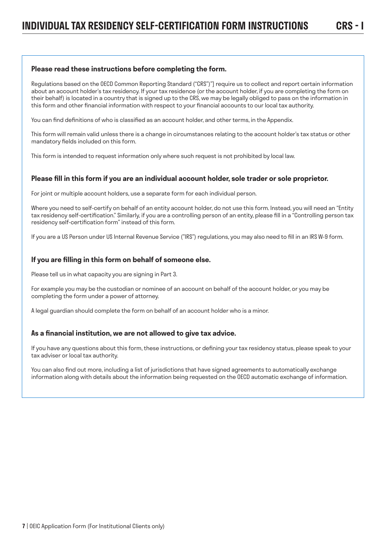### **Please read these instructions before completing the form.**

Regulations based on the OECD Common Reporting Standard ("CRS")"] require us to collect and report certain information about an account holder's tax residency. If your tax residence (or the account holder, if you are completing the form on their behalf) is located in a country that is signed up to the CRS, we may be legally obliged to pass on the information in this form and other financial information with respect to your financial accounts to our local tax authority.

You can find definitions of who is classified as an account holder, and other terms, in the Appendix.

This form will remain valid unless there is a change in circumstances relating to the account holder's tax status or other mandatory fields included on this form.

This form is intended to request information only where such request is not prohibited by local law.

### **Please fill in this form if you are an individual account holder, sole trader or sole proprietor.**

For joint or multiple account holders, use a separate form for each individual person.

Where you need to self-certify on behalf of an entity account holder, do not use this form. Instead, you will need an "Entity tax residency self-certification." Similarly, if you are a controlling person of an entity, please fill in a "Controlling person tax residency self-certification form" instead of this form.

If you are a US Person under US Internal Revenue Service ("IRS") regulations, you may also need to fill in an IRS W-9 form.

### **If you are filling in this form on behalf of someone else.**

Please tell us in what capacity you are signing in Part 3.

For example you may be the custodian or nominee of an account on behalf of the account holder, or you may be completing the form under a power of attorney.

A legal guardian should complete the form on behalf of an account holder who is a minor.

#### **As a financial institution, we are not allowed to give tax advice.**

If you have any questions about this form, these instructions, or defining your tax residency status, please speak to your tax adviser or local tax authority.

You can also find out more, including a list of jurisdictions that have signed agreements to automatically exchange information along with details about the information being requested on the OECD automatic exchange of information.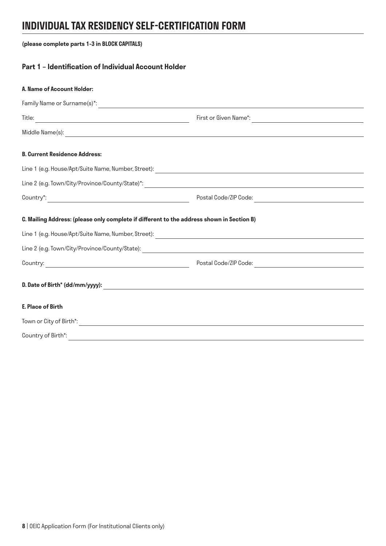# **INDIVIDUAL TAX RESIDENCY SELF-CERTIFICATION FORM**

### **(please complete parts 1-3 in BLOCK CAPITALS)**

### **Part 1 – Identification of Individual Account Holder**

| A. Name of Account Holder:                                                                                                                                                     |  |
|--------------------------------------------------------------------------------------------------------------------------------------------------------------------------------|--|
|                                                                                                                                                                                |  |
|                                                                                                                                                                                |  |
|                                                                                                                                                                                |  |
| <b>B. Current Residence Address:</b>                                                                                                                                           |  |
| Line 1 (e.g. House/Apt/Suite Name, Number, Street): _____________________________                                                                                              |  |
|                                                                                                                                                                                |  |
|                                                                                                                                                                                |  |
| C. Mailing Address: (please only complete if different to the address shown in Section B)<br>Line 1 (e.g. House/Apt/Suite Name, Number, Street): _____________________________ |  |
| Line 2 (e.g. Town/City/Province/County/State): __________________________________                                                                                              |  |
|                                                                                                                                                                                |  |
|                                                                                                                                                                                |  |
| E. Place of Birth                                                                                                                                                              |  |
|                                                                                                                                                                                |  |
|                                                                                                                                                                                |  |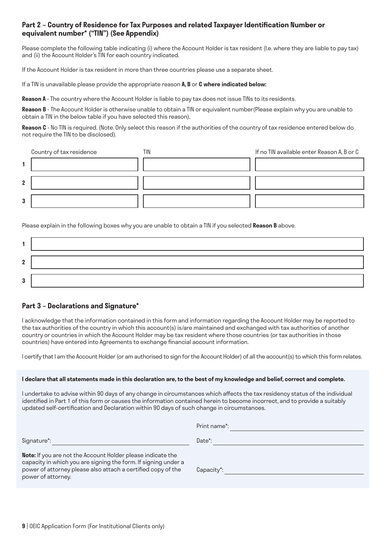### **Part 2 – Country of Residence for Tax Purposes and related Taxpayer Identification Number or equivalent number\* ("TIN") (See Appendix)**

Please complete the following table indicating (i) where the Account Holder is tax resident (I.e. where they are liable to pay tax) and (ii) the Account Holder's TIN for each country indicated.

If the Account Holder is tax resident in more than three countries please use a separate sheet.

If a TIN is unavailable please provide the appropriate reason **A, B** or **C where indicated below:**

**Reason A** - The country where the Account Holder is liable to pay tax does not issue TINs to its residents.

**Reason B** - The Account Holder is otherwise unable to obtain a TIN or equivalent number(Please explain why you are unable to obtain a TIN in the below table if you have selected this reason).

**Reason C** - No TIN is required. (Note. Only select this reason if the authorities of the country of tax residence entered below do not require the TIN to be disclosed).



Please explain in the following boxes why you are unable to obtain a TIN if you selected **Reason B** above.



### **Part 3 – Declarations and Signature\***

I acknowledge that the information contained in this form and information regarding the Account Holder may be reported to the tax authorities of the country in which this account(s) is/are maintained and exchanged with tax authorities of another country or countries in which the Account Holder may be tax resident where those countries (or tax authorities in those countries) have entered into Agreements to exchange financial account information.

I certify that I am the Account Holder (or am authorised to sign for the Account Holder) of all the account(s) to which this form relates.

#### **I declare that all statements made in this declaration are, to the best of my knowledge and belief, correct and complete.**

I undertake to advise within 90 days of any change in circumstances which affects the tax residency status of the individual identified in Part 1 of this form or causes the information contained herein to become incorrect, and to provide a suitably updated self-certification and Declaration within 90 days of such change in circumstances.

|                                                                                                                                      | Print name <sup>*</sup> : |
|--------------------------------------------------------------------------------------------------------------------------------------|---------------------------|
| Signature*:                                                                                                                          | Date <sup>*</sup> :       |
| <b>Note:</b> If you are not the Account Holder please indicate the<br>capacity in which you are signing the form. If signing under a |                           |
| power of attorney please also attach a certified copy of the                                                                         | Capacity*:                |

power of attorney.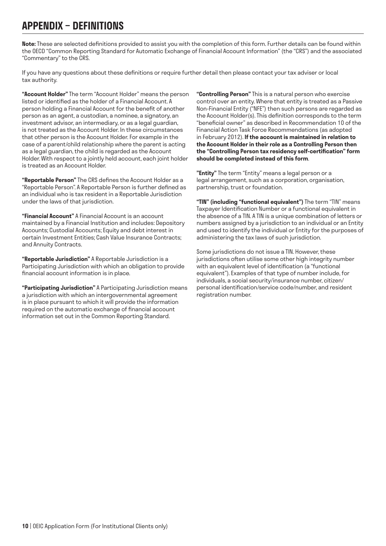# **APPENDIX – DEFINITIONS**

**Note:** These are selected definitions provided to assist you with the completion of this form. Further details can be found within the OECD "Common Reporting Standard for Automatic Exchange of Financial Account Information" (the "CRS") and the associated "Commentary" to the CRS.

If you have any questions about these definitions or require further detail then please contact your tax adviser or local tax authority.

**"Account Holder"** The term "Account Holder" means the person listed or identified as the holder of a Financial Account. A person holding a Financial Account for the benefit of another person as an agent, a custodian, a nominee, a signatory, an investment advisor, an intermediary, or as a legal guardian, is not treated as the Account Holder. In these circumstances that other person is the Account Holder. For example in the case of a parent/child relationship where the parent is acting as a legal guardian, the child is regarded as the Account Holder. With respect to a jointly held account, each joint holder is treated as an Account Holder.

**"Reportable Person"** The CRS defines the Account Holder as a "Reportable Person". A Reportable Person is further defined as an individual who is tax resident in a Reportable Jurisdiction under the laws of that jurisdiction.

**"Financial Account"** A Financial Account is an account maintained by a Financial Institution and includes: Depository Accounts; Custodial Accounts; Equity and debt interest in certain Investment Entities; Cash Value Insurance Contracts; and Annuity Contracts.

**"Reportable Jurisdiction"** A Reportable Jurisdiction is a Participating Jurisdiction with which an obligation to provide financial account information is in place.

**"Participating Jurisdiction"** A Participating Jurisdiction means a jurisdiction with which an intergovernmental agreement is in place pursuant to which it will provide the information required on the automatic exchange of financial account information set out in the Common Reporting Standard.

**"Controlling Person"** This is a natural person who exercise control over an entity. Where that entity is treated as a Passive Non-Financial Entity ("NFE") then such persons are regarded as the Account Holder(s). This definition corresponds to the term "beneficial owner" as described in Recommendation 10 of the Financial Action Task Force Recommendations (as adopted in February 2012). **If the account is maintained in relation to the Account Holder in their role as a Controlling Person then the "Controlling Person tax residency self-certification" form should be completed instead of this form**.

**"Entity"** The term "Entity" means a legal person or a legal arrangement, such as a corporation, organisation, partnership, trust or foundation.

**"TIN" (including "functional equivalent")** The term "TIN" means Taxpayer Identification Number or a functional equivalent in the absence of a TIN. A TIN is a unique combination of letters or numbers assigned by a jurisdiction to an individual or an Entity and used to identify the individual or Entity for the purposes of administering the tax laws of such jurisdiction.

Some jurisdictions do not issue a TIN. However, these jurisdictions often utilise some other high integrity number with an equivalent level of identification (a "functional equivalent"). Examples of that type of number include, for individuals, a social security/insurance number, citizen/ personal identification/service code/number, and resident registration number.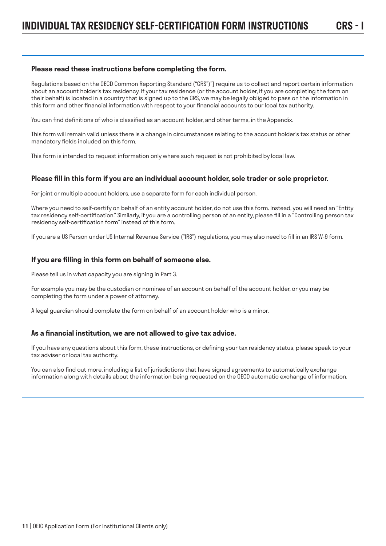### **Please read these instructions before completing the form.**

Regulations based on the OECD Common Reporting Standard ("CRS")"] require us to collect and report certain information about an account holder's tax residency. If your tax residence (or the account holder, if you are completing the form on their behalf) is located in a country that is signed up to the CRS, we may be legally obliged to pass on the information in this form and other financial information with respect to your financial accounts to our local tax authority.

You can find definitions of who is classified as an account holder, and other terms, in the Appendix.

This form will remain valid unless there is a change in circumstances relating to the account holder's tax status or other mandatory fields included on this form.

This form is intended to request information only where such request is not prohibited by local law.

### **Please fill in this form if you are an individual account holder, sole trader or sole proprietor.**

For joint or multiple account holders, use a separate form for each individual person.

Where you need to self-certify on behalf of an entity account holder, do not use this form. Instead, you will need an "Entity tax residency self-certification." Similarly, if you are a controlling person of an entity, please fill in a "Controlling person tax residency self-certification form" instead of this form.

If you are a US Person under US Internal Revenue Service ("IRS") regulations, you may also need to fill in an IRS W-9 form.

### **If you are filling in this form on behalf of someone else.**

Please tell us in what capacity you are signing in Part 3.

For example you may be the custodian or nominee of an account on behalf of the account holder, or you may be completing the form under a power of attorney.

A legal guardian should complete the form on behalf of an account holder who is a minor.

### **As a financial institution, we are not allowed to give tax advice.**

If you have any questions about this form, these instructions, or defining your tax residency status, please speak to your tax adviser or local tax authority.

You can also find out more, including a list of jurisdictions that have signed agreements to automatically exchange information along with details about the information being requested on the OECD automatic exchange of information.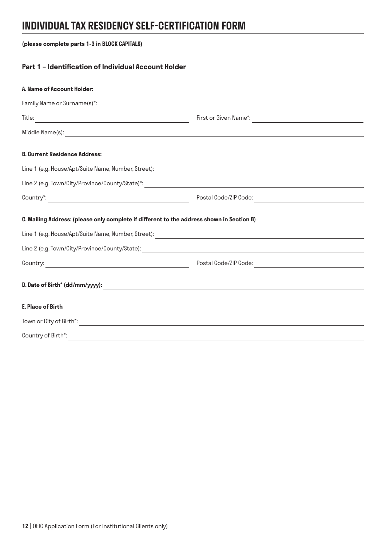# **INDIVIDUAL TAX RESIDENCY SELF-CERTIFICATION FORM**

### **(please complete parts 1-3 in BLOCK CAPITALS)**

### **Part 1 – Identification of Individual Account Holder**

| A. Name of Account Holder:                                                                                                                                                     |  |
|--------------------------------------------------------------------------------------------------------------------------------------------------------------------------------|--|
|                                                                                                                                                                                |  |
|                                                                                                                                                                                |  |
|                                                                                                                                                                                |  |
| <b>B. Current Residence Address:</b>                                                                                                                                           |  |
| Line 1 (e.g. House/Apt/Suite Name, Number, Street): _____________________________                                                                                              |  |
|                                                                                                                                                                                |  |
|                                                                                                                                                                                |  |
| C. Mailing Address: (please only complete if different to the address shown in Section B)<br>Line 1 (e.g. House/Apt/Suite Name, Number, Street): _____________________________ |  |
| Line 2 (e.g. Town/City/Province/County/State): __________________________________                                                                                              |  |
|                                                                                                                                                                                |  |
|                                                                                                                                                                                |  |
| E. Place of Birth                                                                                                                                                              |  |
|                                                                                                                                                                                |  |
|                                                                                                                                                                                |  |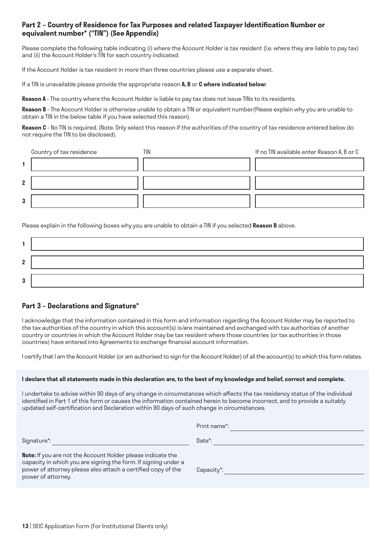### **Part 2 – Country of Residence for Tax Purposes and related Taxpayer Identification Number or equivalent number\* ("TIN") (See Appendix)**

Please complete the following table indicating (i) where the Account Holder is tax resident (I.e. where they are liable to pay tax) and (ii) the Account Holder's TIN for each country indicated.

If the Account Holder is tax resident in more than three countries please use a separate sheet.

If a TIN is unavailable please provide the appropriate reason **A, B** or **C where indicated below:**

**Reason A** - The country where the Account Holder is liable to pay tax does not issue TINs to its residents.

**Reason B** - The Account Holder is otherwise unable to obtain a TIN or equivalent number(Please explain why you are unable to obtain a TIN in the below table if you have selected this reason).

**Reason C** - No TIN is required. (Note. Only select this reason if the authorities of the country of tax residence entered below do not require the TIN to be disclosed).



Please explain in the following boxes why you are unable to obtain a TIN if you selected **Reason B** above.



### **Part 3 – Declarations and Signature\***

I acknowledge that the information contained in this form and information regarding the Account Holder may be reported to the tax authorities of the country in which this account(s) is/are maintained and exchanged with tax authorities of another country or countries in which the Account Holder may be tax resident where those countries (or tax authorities in those countries) have entered into Agreements to exchange financial account information.

I certify that I am the Account Holder (or am authorised to sign for the Account Holder) of all the account(s) to which this form relates.

#### **I declare that all statements made in this declaration are, to the best of my knowledge and belief, correct and complete.**

I undertake to advise within 90 days of any change in circumstances which affects the tax residency status of the individual identified in Part 1 of this form or causes the information contained herein to become incorrect, and to provide a suitably updated self-certification and Declaration within 90 days of such change in circumstances.

|                                                                                                                                      | Print name <sup>*</sup> : |
|--------------------------------------------------------------------------------------------------------------------------------------|---------------------------|
| Signature*:                                                                                                                          | Date <sup>*</sup> :       |
| <b>Note:</b> If you are not the Account Holder please indicate the<br>capacity in which you are signing the form. If signing under a |                           |
| power of attorney please also attach a certified copy of the                                                                         | Capacity*:                |

power of attorney.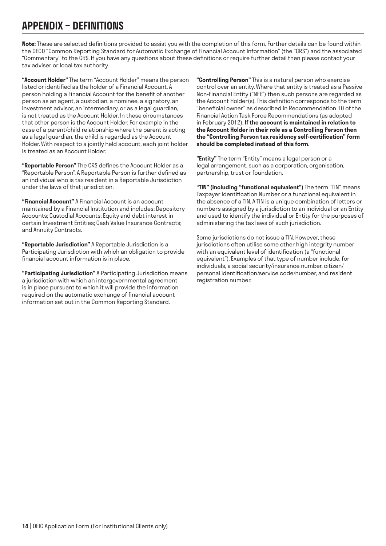# **APPENDIX – DEFINITIONS**

**Note:** These are selected definitions provided to assist you with the completion of this form. Further details can be found within the OECD "Common Reporting Standard for Automatic Exchange of Financial Account Information" (the "CRS") and the associated "Commentary" to the CRS. If you have any questions about these definitions or require further detail then please contact your tax adviser or local tax authority.

**"Account Holder"** The term "Account Holder" means the person listed or identified as the holder of a Financial Account. A person holding a Financial Account for the benefit of another person as an agent, a custodian, a nominee, a signatory, an investment advisor, an intermediary, or as a legal guardian, is not treated as the Account Holder. In these circumstances that other person is the Account Holder. For example in the case of a parent/child relationship where the parent is acting as a legal guardian, the child is regarded as the Account Holder. With respect to a jointly held account, each joint holder is treated as an Account Holder.

**"Reportable Person"** The CRS defines the Account Holder as a "Reportable Person". A Reportable Person is further defined as an individual who is tax resident in a Reportable Jurisdiction under the laws of that jurisdiction.

**"Financial Account"** A Financial Account is an account maintained by a Financial Institution and includes: Depository Accounts; Custodial Accounts; Equity and debt interest in certain Investment Entities; Cash Value Insurance Contracts; and Annuity Contracts.

**"Reportable Jurisdiction"** A Reportable Jurisdiction is a Participating Jurisdiction with which an obligation to provide financial account information is in place.

**"Participating Jurisdiction"** A Participating Jurisdiction means a jurisdiction with which an intergovernmental agreement is in place pursuant to which it will provide the information required on the automatic exchange of financial account information set out in the Common Reporting Standard.

**"Controlling Person"** This is a natural person who exercise control over an entity. Where that entity is treated as a Passive Non-Financial Entity ("NFE") then such persons are regarded as the Account Holder(s). This definition corresponds to the term "beneficial owner" as described in Recommendation 10 of the Financial Action Task Force Recommendations (as adopted in February 2012). **If the account is maintained in relation to the Account Holder in their role as a Controlling Person then the "Controlling Person tax residency self-certification" form should be completed instead of this form**.

**"Entity"** The term "Entity" means a legal person or a legal arrangement, such as a corporation, organisation, partnership, trust or foundation.

**"TIN" (including "functional equivalent")** The term "TIN" means Taxpayer Identification Number or a functional equivalent in the absence of a TIN. A TIN is a unique combination of letters or numbers assigned by a jurisdiction to an individual or an Entity and used to identify the individual or Entity for the purposes of administering the tax laws of such jurisdiction.

Some jurisdictions do not issue a TIN. However, these jurisdictions often utilise some other high integrity number with an equivalent level of identification (a "functional equivalent"). Examples of that type of number include, for individuals, a social security/insurance number, citizen/ personal identification/service code/number, and resident registration number.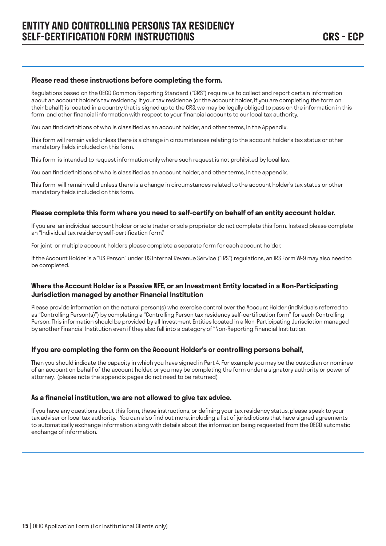### **ENTITY AND CONTROLLING PERSONS TAX RESIDENCY SELF-CERTIFICATION FORM INSTRUCTIONS CRS - ECP**

### **Please read these instructions before completing the form.**

Regulations based on the OECD Common Reporting Standard ("CRS") require us to collect and report certain information about an account holder's tax residency. If your tax residence (or the account holder, if you are completing the form on their behalf) is located in a country that is signed up to the CRS, we may be legally obliged to pass on the information in this form and other financial information with respect to your financial accounts to our local tax authority.

You can find definitions of who is classified as an account holder, and other terms, in the Appendix.

This form will remain valid unless there is a change in circumstances relating to the account holder's tax status or other mandatory fields included on this form.

This form is intended to request information only where such request is not prohibited by local law.

You can find definitions of who is classified as an account holder, and other terms, in the appendix.

This form will remain valid unless there is a change in circumstances related to the account holder's tax status or other mandatory fields included on this form.

### **Please complete this form where you need to self-certify on behalf of an entity account holder.**

If you are an individual account holder or sole trader or sole proprietor do not complete this form. Instead please complete an "Individual tax residency self-certification form."

For joint or multiple account holders please complete a separate form for each account holder.

If the Account Holder is a "US Person" under US Internal Revenue Service ("IRS") regulations, an IRS Form W-9 may also need to be completed.

### **Where the Account Holder is a Passive NFE, or an Investment Entity located in a Non-Participating Jurisdiction managed by another Financial Institution**

Please provide information on the natural person(s) who exercise control over the Account Holder (individuals referred to as "Controlling Person(s)") by completing a "Controlling Person tax residency self-certification form" for each Controlling Person. This information should be provided by all Investment Entities located in a Non-Participating Jurisdiction managed by another Financial Institution even if they also fall into a category of "Non-Reporting Financial Institution.

### **If you are completing the form on the Account Holder's or controlling persons behalf,**

Then you should indicate the capacity in which you have signed in Part 4. For example you may be the custodian or nominee of an account on behalf of the account holder, or you may be completing the form under a signatory authority or power of attorney. (please note the appendix pages do not need to be returned)

### **As a financial institution, we are not allowed to give tax advice.**

If you have any questions about this form, these instructions, or defining your tax residency status, please speak to your tax adviser or local tax authority. You can also find out more, including a list of jurisdictions that have signed agreements to automatically exchange information along with details about the information being requested from the OECD automatic exchange of information.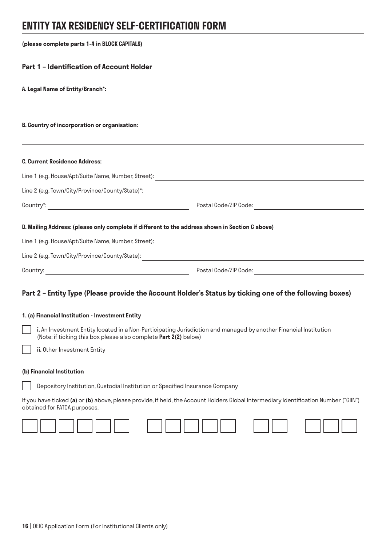### **ENTITY TAX RESIDENCY SELF-CERTIFICATION FORM**

| (please complete parts 1-4 in BLOCK CAPITALS)                                                   |                                                                                                                  |
|-------------------------------------------------------------------------------------------------|------------------------------------------------------------------------------------------------------------------|
| Part 1 - Identification of Account Holder                                                       |                                                                                                                  |
| A. Legal Name of Entity/Branch*:                                                                |                                                                                                                  |
| <b>B. Country of incorporation or organisation:</b>                                             |                                                                                                                  |
| <b>C. Current Residence Address:</b>                                                            |                                                                                                                  |
|                                                                                                 |                                                                                                                  |
|                                                                                                 |                                                                                                                  |
|                                                                                                 |                                                                                                                  |
| D. Mailing Address: (please only complete if different to the address shown in Section C above) |                                                                                                                  |
|                                                                                                 |                                                                                                                  |
|                                                                                                 |                                                                                                                  |
|                                                                                                 |                                                                                                                  |
|                                                                                                 | Part 2 - Entity Type (Please provide the Account Holder's Status by ticking one of the following boxes)          |
| 1. (a) Financial Institution - Investment Entity                                                |                                                                                                                  |
|                                                                                                 | i. An Investment Entity located in a Non-Participating Jurisdiction and managed by another Financial Institution |

 **i.** An Investment Entity located in a Non-Participating Jurisdiction and managed by another Financial Institution (Note: if ticking this box please also complete **Part 2(2)** below)

**ii.** Other Investment Entity

#### **(b) Financial Institution**

Depository Institution, Custodial Institution or Specified Insurance Company

If you have ticked **(a)** or **(b)** above, please provide, if held, the Account Holders Global Intermediary Identification Number ("GIIN") obtained for FATCA purposes.

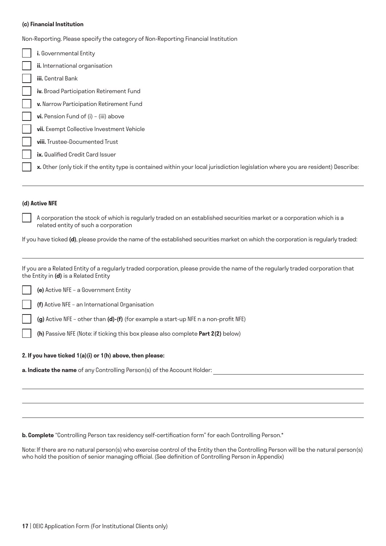#### **(c) Financial Institution**

Non-Reporting. Please specify the category of Non-Reporting Financial Institution

| i. Governmental Entity                                                                                                           |
|----------------------------------------------------------------------------------------------------------------------------------|
| ii. International organisation                                                                                                   |
| iii. Central Bank                                                                                                                |
| iv. Broad Participation Retirement Fund                                                                                          |
| v. Narrow Participation Retirement Fund                                                                                          |
| <b>vi.</b> Pension Fund of $(i)$ - $(iii)$ above                                                                                 |
| vii. Exempt Collective Investment Vehicle                                                                                        |
| viii. Trustee-Documented Trust                                                                                                   |
| ix. Qualified Credit Card Issuer                                                                                                 |
| x. Other (only tick if the entity type is contained within your local jurisdiction legislation where you are resident) Describe: |

#### **(d) Active NFE**

 A corporation the stock of which is regularly traded on an established securities market or a corporation which is a related entity of such a corporation

If you have ticked **(d)**, please provide the name of the established securities market on which the corporation is regularly traded:

If you are a Related Entity of a regularly traded corporation, please provide the name of the regularly traded corporation that the Entity in **(d)** is a Related Entity

**(e)** Active NFE – a Government Entity

**(f)** Active NFE – an International Organisation

**(g)** Active NFE – other than **(d)-(f)** (for example a start-up NFE n a non-profit NFE)

**(h)** Passive NFE (Note: if ticking this box please also complete **Part 2(2)** below)

#### **2. If you have ticked 1(a)(i) or 1(h) above, then please:**

**a. Indicate the name** of any Controlling Person(s) of the Account Holder:

**b. Complete** "Controlling Person tax residency self-certification form" for each Controlling Person.\*

Note: If there are no natural person(s) who exercise control of the Entity then the Controlling Person will be the natural person(s) who hold the position of senior managing official. (See definition of Controlling Person in Appendix)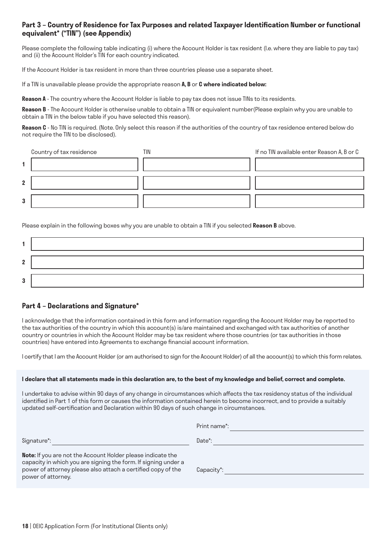### **Part 3 – Country of Residence for Tax Purposes and related Taxpayer Identification Number or functional equivalent\* ("TIN") (see Appendix)**

Please complete the following table indicating (i) where the Account Holder is tax resident (I.e. where they are liable to pay tax) and (ii) the Account Holder's TIN for each country indicated.

If the Account Holder is tax resident in more than three countries please use a separate sheet.

If a TIN is unavailable please provide the appropriate reason **A, B** or **C where indicated below:**

**Reason A** - The country where the Account Holder is liable to pay tax does not issue TINs to its residents.

**Reason B** - The Account Holder is otherwise unable to obtain a TIN or equivalent number(Please explain why you are unable to obtain a TIN in the below table if you have selected this reason).

**Reason C** - No TIN is required. (Note. Only select this reason if the authorities of the country of tax residence entered below do not require the TIN to be disclosed).



Please explain in the following boxes why you are unable to obtain a TIN if you selected **Reason B** above.



### **Part 4 – Declarations and Signature\***

I acknowledge that the information contained in this form and information regarding the Account Holder may be reported to the tax authorities of the country in which this account(s) is/are maintained and exchanged with tax authorities of another country or countries in which the Account Holder may be tax resident where those countries (or tax authorities in those countries) have entered into Agreements to exchange financial account information.

I certify that I am the Account Holder (or am authorised to sign for the Account Holder) of all the account(s) to which this form relates.

#### **I declare that all statements made in this declaration are, to the best of my knowledge and belief, correct and complete.**

I undertake to advise within 90 days of any change in circumstances which affects the tax residency status of the individual identified in Part 1 of this form or causes the information contained herein to become incorrect, and to provide a suitably updated self-certification and Declaration within 90 days of such change in circumstances.

|                                                                                                                                      | Print name <sup>*</sup> : |
|--------------------------------------------------------------------------------------------------------------------------------------|---------------------------|
| Signature*:                                                                                                                          | Date*:                    |
| <b>Note:</b> If you are not the Account Holder please indicate the<br>capacity in which you are signing the form. If signing under a |                           |
| power of attorney please also attach a certified copy of the                                                                         | Capacity*:                |

power of attorney.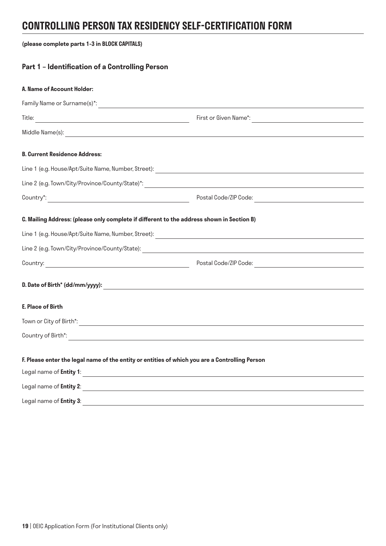# **CONTROLLING PERSON TAX RESIDENCY SELF-CERTIFICATION FORM**

### **(please complete parts 1-3 in BLOCK CAPITALS)**

### **Part 1 – Identification of a Controlling Person**

| A. Name of Account Holder:                                                                |                                                                                                |
|-------------------------------------------------------------------------------------------|------------------------------------------------------------------------------------------------|
|                                                                                           |                                                                                                |
|                                                                                           |                                                                                                |
|                                                                                           |                                                                                                |
| <b>B. Current Residence Address:</b>                                                      |                                                                                                |
|                                                                                           | Line 1 (e.g. House/Apt/Suite Name, Number, Street): ____________________________               |
|                                                                                           |                                                                                                |
|                                                                                           |                                                                                                |
| C. Mailing Address: (please only complete if different to the address shown in Section B) |                                                                                                |
|                                                                                           |                                                                                                |
|                                                                                           |                                                                                                |
|                                                                                           |                                                                                                |
|                                                                                           | D. Date of Birth* (dd/mm/yyyy):                                                                |
| E. Place of Birth                                                                         |                                                                                                |
|                                                                                           |                                                                                                |
|                                                                                           |                                                                                                |
|                                                                                           | F. Please enter the legal name of the entity or entities of which you are a Controlling Person |
|                                                                                           |                                                                                                |
| Legal name of Entity 3:                                                                   |                                                                                                |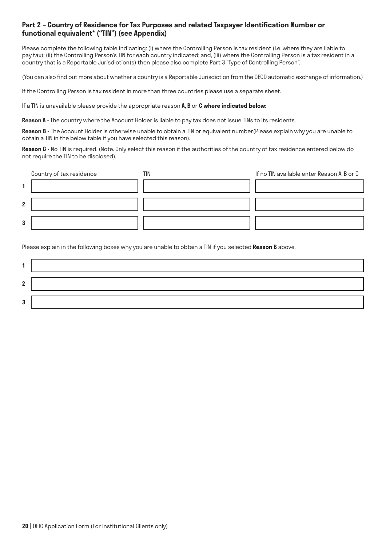### **Part 2 – Country of Residence for Tax Purposes and related Taxpayer Identification Number or functional equivalent\* ("TIN") (see Appendix)**

Please complete the following table indicating: (i) where the Controlling Person is tax resident (I.e. where they are liable to pay tax); (ii) the Controlling Person's TIN for each country indicated; and, (iii) where the Controlling Person is a tax resident in a country that is a Reportable Jurisdiction(s) then please also complete Part 3 "Type of Controlling Person".

(You can also find out more about whether a country is a Reportable Jurisdiction from the OECD automatic exchange of information.)

If the Controlling Person is tax resident in more than three countries please use a separate sheet.

If a TIN is unavailable please provide the appropriate reason **A, B** or **C where indicated below:**

**Reason A** - The country where the Account Holder is liable to pay tax does not issue TINs to its residents.

**Reason B** - The Account Holder is otherwise unable to obtain a TIN or equivalent number(Please explain why you are unable to obtain a TIN in the below table if you have selected this reason).

**Reason C** - No TIN is required. (Note. Only select this reason if the authorities of the country of tax residence entered below do not require the TIN to be disclosed).

|                | Country of tax residence | TIN | If no TIN available enter Reason A, B or C |
|----------------|--------------------------|-----|--------------------------------------------|
|                |                          |     |                                            |
| $\overline{2}$ |                          |     |                                            |
| 3              |                          |     |                                            |

Please explain in the following boxes why you are unable to obtain a TIN if you selected **Reason B** above.

| C.<br>← |  |
|---------|--|
| 3       |  |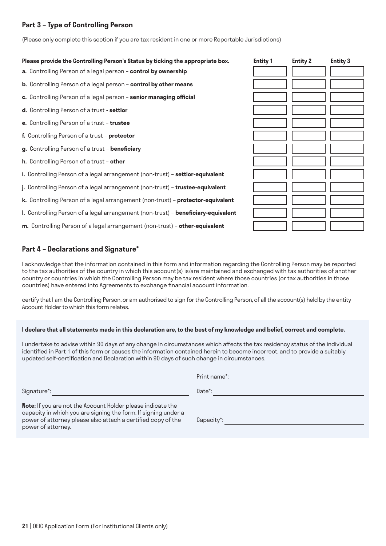### **Part 3 – Type of Controlling Person**

(Please only complete this section if you are tax resident in one or more Reportable Jurisdictions)

| Please provide the Controlling Person's Status by ticking the appropriate box.  | <b>Entity 1</b> | <b>Entity 2</b> | <b>Entity 3</b> |
|---------------------------------------------------------------------------------|-----------------|-----------------|-----------------|
| a. Controlling Person of a legal person - control by ownership                  |                 |                 |                 |
| b. Controlling Person of a legal person - control by other means                |                 |                 |                 |
| c. Controlling Person of a legal person - senior managing official              |                 |                 |                 |
| d. Controlling Person of a trust - settlor                                      |                 |                 |                 |
| e. Controlling Person of a trust - trustee                                      |                 |                 |                 |
| f. Controlling Person of a trust - protector                                    |                 |                 |                 |
| g. Controlling Person of a trust - beneficiary                                  |                 |                 |                 |
| h. Controlling Person of a trust - other                                        |                 |                 |                 |
| i. Controlling Person of a legal arrangement (non-trust) - settlor-equivalent   |                 |                 |                 |
| j. Controlling Person of a legal arrangement (non-trust) - trustee-equivalent   |                 |                 |                 |
| k. Controlling Person of a legal arrangement (non-trust) - protector-equivalent |                 |                 |                 |

- **l.** Controlling Person of a legal arrangement (non-trust) **beneficiary-equivalent**
- **m.** Controlling Person of a legal arrangement (non-trust) **other-equivalent**

### **Part 4 – Declarations and Signature\***

I acknowledge that the information contained in this form and information regarding the Controlling Person may be reported to the tax authorities of the country in which this account(s) is/are maintained and exchanged with tax authorities of another country or countries in which the Controlling Person may be tax resident where those countries (or tax authorities in those countries) have entered into Agreements to exchange financial account information.

certify that I am the Controlling Person, or am authorised to sign for the Controlling Person, of all the account(s) held by the entity Account Holder to which this form relates.

#### **I declare that all statements made in this declaration are, to the best of my knowledge and belief, correct and complete.**

I undertake to advise within 90 days of any change in circumstances which affects the tax residency status of the individual identified in Part 1 of this form or causes the information contained herein to become incorrect, and to provide a suitably updated self-certification and Declaration within 90 days of such change in circumstances.

|                                                                                                                                                                                                                     | Print name <sup>*</sup> |
|---------------------------------------------------------------------------------------------------------------------------------------------------------------------------------------------------------------------|-------------------------|
| Signature*:                                                                                                                                                                                                         | Date <sup>*</sup> :     |
| Note: If you are not the Account Holder please indicate the<br>capacity in which you are signing the form. If signing under a<br>power of attorney please also attach a certified copy of the<br>power of attorney. | $Capacity^*$ :          |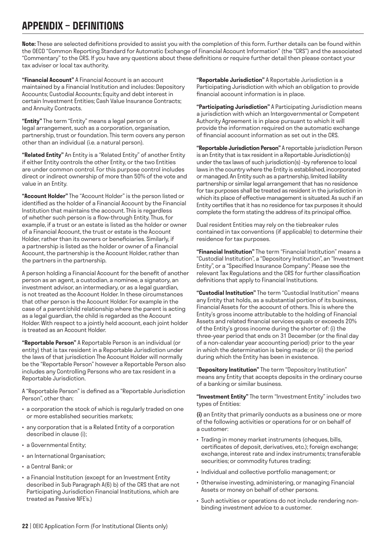# **APPENDIX – DEFINITIONS**

**Note:** These are selected definitions provided to assist you with the completion of this form. Further details can be found within the OECD "Common Reporting Standard for Automatic Exchange of Financial Account Information" (the "CRS") and the associated "Commentary" to the CRS. If you have any questions about these definitions or require further detail then please contact your tax adviser or local tax authority.

**"Financial Account"** A Financial Account is an account maintained by a Financial Institution and includes: Depository Accounts; Custodial Accounts; Equity and debt interest in certain Investment Entities; Cash Value Insurance Contracts; and Annuity Contracts.

**"Entity"** The term "Entity" means a legal person or a legal arrangement, such as a corporation, organisation, partnership, trust or foundation. This term covers any person other than an individual (i.e. a natural person).

**"Related Entity"** An Entity is a "Related Entity" of another Entity if either Entity controls the other Entity, or the two Entities are under common control. For this purpose control includes direct or indirect ownership of more than 50% of the vote and value in an Entity.

**"Account Holder"** The "Account Holder" is the person listed or identified as the holder of a Financial Account by the Financial Institution that maintains the account. This is regardless of whether such person is a flow-through Entity. Thus, for example, if a trust or an estate is listed as the holder or owner of a Financial Account, the trust or estate is the Account Holder, rather than its owners or beneficiaries. Similarly, if a partnership is listed as the holder or owner of a Financial Account, the partnership is the Account Holder, rather than the partners in the partnership.

A person holding a Financial Account for the benefit of another person as an agent, a custodian, a nominee, a signatory, an investment advisor, an intermediary, or as a legal guardian, is not treated as the Account Holder. In these circumstances that other person is the Account Holder. For example in the case of a parent/child relationship where the parent is acting as a legal guardian, the child is regarded as the Account Holder. With respect to a jointly held account, each joint holder is treated as an Account Holder.

**"Reportable Person"** A Reportable Person is an individual (or entity) that is tax resident in a Reportable Jurisdiction under the laws of that jurisdiction The Account Holder will normally be the "Reportable Person" however a Reportable Person also includes any Controlling Persons who are tax resident in a Reportable Jurisdiction.

A "Reportable Person" is defined as a "Reportable Jurisdiction Person", other than:

- a corporation the stock of which is regularly traded on one or more established securities markets;
- any corporation that is a Related Entity of a corporation described in clause (i);
- a Governmental Entity;
- an International Organisation;
- a Central Bank; or
- a Financial Institution (except for an Investment Entity described in Sub Paragraph A(6) b) of the CRS that are not Participating Jurisdiction Financial Institutions, which are treated as Passive NFE's.)

**"Reportable Jurisdiction"** A Reportable Jurisdiction is a Participating Jurisdiction with which an obligation to provide financial account information is in place.

**"Participating Jurisdiction"** A Participating Jurisdiction means a jurisdiction with which an Intergovernmental or Competent Authority Agreement is in place pursuant to which it will provide the information required on the automatic exchange of financial account information as set out in the CRS.

**"Reportable Jurisdiction Person"** A reportable jurisdiction Person is an Entity that is tax resident in a Reportable Jurisdiction(s) under the tax laws of such jurisdiction(s) -by reference to local laws in the country where the Entity is established, incorporated or managed. An Entity such as a partnership, limited liability partnership or similar legal arrangement that has no residence for tax purposes shall be treated as resident in the jurisdiction in which its place of effective management is situated. As such if an Entity certifies that it has no residence for tax purposes it should complete the form stating the address of its principal office.

Dual resident Entities may rely on the tiebreaker rules contained in tax conventions (if applicable) to determine their residence for tax purposes.

**"Financial Institution"** The term "Financial Institution" means a "Custodial Institution", a "Depository Institution", an "Investment Entity", or a "Specified Insurance Company". Please see the relevant Tax Regulations and the CRS for further classification definitions that apply to Financial Institutions.

**"Custodial Institution"** The term "Custodial Institution" means any Entity that holds, as a substantial portion of its business, Financial Assets for the account of others. This is where the Entity's gross income attributable to the holding of Financial Assets and related financial services equals or exceeds 20% of the Entity's gross income during the shorter of: (i) the three-year period that ends on 31 December (or the final day of a non-calendar year accounting period) prior to the year in which the determination is being made; or (ii) the period during which the Entity has been in existence.

"**Depository Institution"** The term "Depository Institution" means any Entity that accepts deposits in the ordinary course of a banking or similar business.

**"Investment Entity"** The term "Investment Entity" includes two types of Entities:

**(i)** an Entity that primarily conducts as a business one or more of the following activities or operations for or on behalf of a customer:

- Trading in money market instruments (cheques, bills, certificates of deposit, derivatives, etc.); foreign exchange; exchange, interest rate and index instruments; transferable securities; or commodity futures trading;
- Individual and collective portfolio management; or
- Otherwise investing, administering, or managing Financial Assets or money on behalf of other persons.
- Such activities or operations do not include rendering nonbinding investment advice to a customer.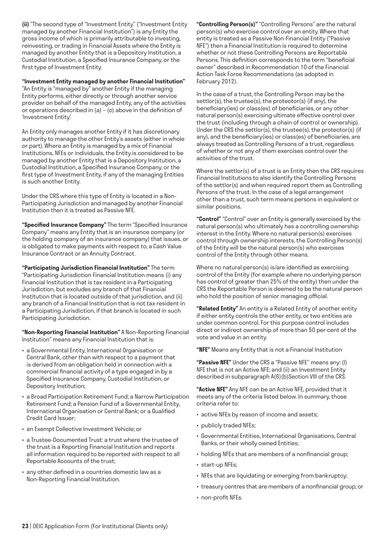**(ii)** "The second type of "Investment Entity" ("Investment Entity managed by another Financial Institution") is any Entity the gross income of which is primarily attributable to investing, reinvesting, or trading in Financial Assets where the Entity is managed by another Entity that is a Depository Institution, a Custodial Institution, a Specified Insurance Company, or the first type of Investment Entity.

#### **"Investment Entity managed by another Financial Institution"**

"An Entity is "managed by" another Entity if the managing Entity performs, either directly or through another service provider on behalf of the managed Entity, any of the activities or operations described in (a) – (c) above in the definition of 'Investment Entity'.

An Entity only manages another Entity if it has discretionary authority to manage the other Entity's assets (either in whole or part). Where an Entity is managed by a mix of Financial Institutions, NFEs or individuals, the Entity is considered to be managed by another Entity that is a Depository Institution, a Custodial Institution, a Specified Insurance Company, or the first type of Investment Entity, if any of the managing Entities is such another Entity.

Under the CRS where this type of Entity is located in a Non-Participating Jurisdiction and managed by another Financial Institution then it is treated as Passive NFE.

**"Specified Insurance Company"** The term "Specified Insurance Company" means any Entity that is an insurance company (or the holding company of an insurance company) that issues, or is obligated to make payments with respect to, a Cash Value Insurance Contract or an Annuity Contract.

**"Participating Jurisdiction Financial Institution"** The term "Participating Jurisdiction Financial Institution means (i) any Financial Institution that is tax resident in a Participating Jurisdiction, but excludes any branch of that Financial Institution that is located outside of that jurisdiction, and (ii) any branch of a Financial Institution that is not tax resident in a Participating Jurisdiction, if that branch is located in such Participating Jurisdiction.

**"Non-Reporting Financial Institution"** A Non-Reporting Financial Institution" means any Financial Institution that is:

- a Governmental Entity, International Organisation or Central Bank, other than with respect to a payment that is derived from an obligation held in connection with a commercial financial activity of a type engaged in by a Specified Insurance Company, Custodial Institution, or Depository Institution;
- a Broad Participation Retirement Fund; a Narrow Participation Retirement Fund; a Pension Fund of a Governmental Entity, International Organisation or Central Bank; or a Qualified Credit Card Issuer;
- an Exempt Collective Investment Vehicle; or
- a Trustee-Documented Trust: a trust where the trustee of the trust is a Reporting Financial Institution and reports all information required to be reported with respect to all Reportable Accounts of the trust;
- any other defined in a countries domestic law as a Non-Reporting Financial Institution.

**"Controlling Person(s)"** "Controlling Persons" are the natural person(s) who exercise control over an entity. Where that entity is treated as a Passive Non-Financial Entity ("Passive NFE") then a Financial Institution is required to determine whether or not these Controlling Persons are Reportable Persons. This definition corresponds to the term "beneficial owner" described in Recommendation 10 of the Financial Action Task Force Recommendations (as adopted in February 2012).

In the case of a trust, the Controlling Person may be the settlor(s), the trustee(s), the protector(s) (if any), the beneficiary(ies) or class(es) of beneficiaries, or any other natural person(s) exercising ultimate effective control over the trust (including through a chain of control or ownership). Under the CRS the settlor(s), the trustee(s), the protector(s) (if any), and the beneficiary(ies) or class(es) of beneficiaries, are always treated as Controlling Persons of a trust, regardless of whether or not any of them exercises control over the activities of the trust.

Where the settlor(s) of a trust is an Entity then the CRS requires Financial Institutions to also identify the Controlling Persons of the settlor(s) and when required report them as Controlling Persons of the trust. In the case of a legal arrangement other than a trust, such term means persons in equivalent or similar positions.

**"Control"** "Control" over an Entity is generally exercised by the natural person(s) who ultimately has a controlling ownership interest in the Entity. Where no natural person(s) exercises control through ownership interests, the Controlling Person(s) of the Entity will be the natural person(s) who exercises control of the Entity through other means.

Where no natural person(s) is/are identified as exercising control of the Entity (for example where no underlying person has control of greater than 25% of the entity) then under the CRS the Reportable Person is deemed to be the natural person who hold the position of senior managing official.

**"Related Entity"** An entity is a Related Entity of another entity if either entity controls the other entity, or two entities are under common control. For this purpose control includes direct or indirect ownership of more than 50 per cent of the vote and value in an entity.

**"NFE"** Means any Entity that is not a Financial Institution

**"Passive NFE"** Under the CRS a "Passive NFE" means any: (I) NFE that is not an Active NFE; and (ii) an Investment Entity described in subparagraph A(6)(b)Section VIII of the CRS.

**"Active NFE"** Any NFE can be an Active NFE, provided that it meets any of the criteria listed below. In summary, those criteria refer to:

- active NFEs by reason of income and assets;
- publicly traded NFEs;
- Governmental Entities, International Organisations, Central Banks, or their wholly owned Entities;
- holding NFEs that are members of a nonfinancial group;
- start-up NFEs;
- NFEs that are liquidating or emerging from bankruptcy;
- treasury centres that are members of a nonfinancial group; or
- non-profit NFEs.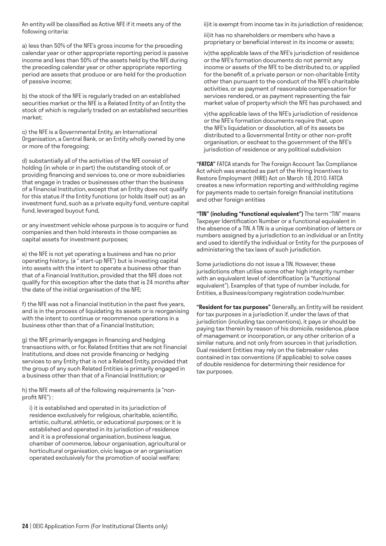An entity will be classified as Active NFE if it meets any of the following criteria:

a) less than 50% of the NFE's gross income for the preceding calendar year or other appropriate reporting period is passive income and less than 50% of the assets held by the NFE during the preceding calendar year or other appropriate reporting period are assets that produce or are held for the production of passive income;

b) the stock of the NFE is regularly traded on an established securities market or the NFE is a Related Entity of an Entity the stock of which is regularly traded on an established securities market;

c) the NFE is a Governmental Entity, an International Organisation, a Central Bank, or an Entity wholly owned by one or more of the foregoing;

d) substantially all of the activities of the NFE consist of holding (in whole or in part) the outstanding stock of, or providing financing and services to, one or more subsidiaries that engage in trades or businesses other than the business of a Financial Institution, except that an Entity does not qualify for this status if the Entity functions (or holds itself out) as an investment fund, such as a private equity fund, venture capital fund, leveraged buyout fund,

or any investment vehicle whose purpose is to acquire or fund companies and then hold interests in those companies as capital assets for investment purposes;

e) the NFE is not yet operating a business and has no prior operating history, (a " start-up NFE") but is investing capital into assets with the intent to operate a business other than that of a Financial Institution, provided that the NFE does not qualify for this exception after the date that is 24 months after the date of the initial organisation of the NFE;

f) the NFE was not a Financial Institution in the past five years, and is in the process of liquidating its assets or is reorganising with the intent to continue or recommence operations in a business other than that of a Financial Institution;

g) the NFE primarily engages in financing and hedging transactions with, or for, Related Entities that are not Financial Institutions, and does not provide financing or hedging services to any Entity that is not a Related Entity, provided that the group of any such Related Entities is primarily engaged in a business other than that of a Financial Institution; or

h) the NFE meets all of the following requirements (a "nonprofit NFE") :

i) it is established and operated in its jurisdiction of residence exclusively for religious, charitable, scientific, artistic, cultural, athletic, or educational purposes; or it is established and operated in its jurisdiction of residence and it is a professional organisation, business league, chamber of commerce, labour organisation, agricultural or horticultural organisation, civic league or an organisation operated exclusively for the promotion of social welfare;

ii)it is exempt from income tax in its jurisdiction of residence;

iii)it has no shareholders or members who have a proprietary or beneficial interest in its income or assets;

iv)the applicable laws of the NFE's jurisdiction of residence or the NFE's formation documents do not permit any income or assets of the NFE to be distributed to, or applied for the benefit of, a private person or non-charitable Entity other than pursuant to the conduct of the NFE's charitable activities, or as payment of reasonable compensation for services rendered, or as payment representing the fair market value of property which the NFE has purchased; and

v)the applicable laws of the NFE's jurisdiction of residence or the NFE's formation documents require that, upon the NFE's liquidation or dissolution, all of its assets be distributed to a Governmental Entity or other non-profit organisation, or escheat to the government of the NFE's jurisdiction of residence or any political subdivision

**"FATCA"** FATCA stands for The Foreign Account Tax Compliance Act which was enacted as part of the Hiring Incentives to Restore Employment (HIRE) Act on March 18, 2010. FATCA creates a new information reporting and withholding regime for payments made to certain foreign financial institutions and other foreign entities

**"TIN" (including "functional equivalent")** The term "TIN" means Taxpayer Identification Number or a functional equivalent in the absence of a TIN. A TIN is a unique combination of letters or numbers assigned by a jurisdiction to an individual or an Entity and used to identify the individual or Entity for the purposes of administering the tax laws of such jurisdiction.

Some jurisdictions do not issue a TIN. However, these jurisdictions often utilise some other high integrity number with an equivalent level of identification (a "functional equivalent"). Examples of that type of number include, for Entities, a Business/company registration code/number.

**"Resident for tax purposes"** Generally, an Entity will be resident for tax purposes in a jurisdiction if, under the laws of that jurisdiction (including tax conventions), it pays or should be paying tax therein by reason of his domicile, residence, place of management or incorporation, or any other criterion of a similar nature, and not only from sources in that jurisdiction. Dual resident Entities may rely on the tiebreaker rules contained in tax conventions (if applicable) to solve cases of double residence for determining their residence for tax purposes.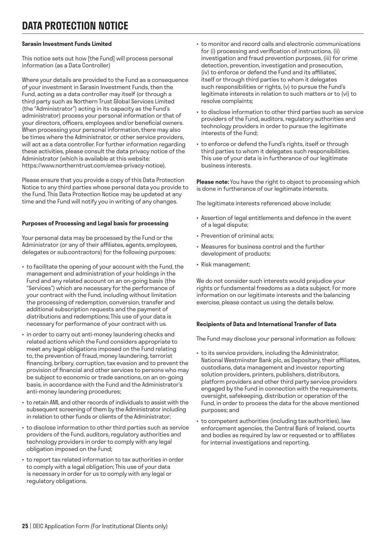# **DATA PROTECTION NOTICE**

### **Sarasin Investment Funds Limited**

This notice sets out how [the Fund] will process personal information (as a Data Controller)

Where your details are provided to the Fund as a consequence of your investment in Sarasin Investment Funds, then the Fund, acting as a data controller may itself (or through a third party such as Northern Trust Global Services Limited (the "Administrator") acting in its capacity as the Fund's administrator) process your personal information or that of your directors, officers, employees and/or beneficial owners. When processing your personal information, there may also be times where the Administrator, or other service providers, will act as a data controller. For further information regarding these activities, please consult the data privacy notice of the Administrator (which is available at this website: https://www.northerntrust.com/emea-privacy-notice).

Please ensure that you provide a copy of this Data Protection Notice to any third parties whose personal data you provide to the Fund. This Data Protection Notice may be updated at any time and the Fund will notify you in writing of any changes.

#### **Purposes of Processing and Legal basis for processing**

Your personal data may be processed by the Fund or the Administrator (or any of their affiliates, agents, employees, delegates or sub.contractors) for the following purposes:

- to facilitate the opening of your account with the Fund, the management and administration of your holdings in the Fund and any related account on an on-going basis (the "Services") which are necessary for the performance of your contract with the Fund, including without limitation the processing of redemption, conversion, transfer and additional subscription requests and the payment of distributions and redemptions; This use of your data is necessary for performance of your contract with us.
- in order to carry out anti-money laundering checks and related actions which the Fund considers appropriate to meet any legal obligations imposed on the Fund relating to, the prevention of fraud, money laundering, terrorist financing, bribery, corruption, tax evasion and to prevent the provision of financial and other services to persons who may be subject to economic or trade sanctions, on an on-going basis, in accordance with the Fund and the Administrator's anti-money laundering procedures;
- to retain AML and other records of individuals to assist with the subsequent screening of them by the Administrator including in relation to other funds or clients of the Administrator;
- to disclose information to other third parties such as service providers of the Fund, auditors, regulatory authorities and technology providers in order to comply with any legal obligation imposed on the Fund;
- to report tax related information to tax authorities in order to comply with a legal obligation; This use of your data is necessary in order for us to comply with any legal or regulatory obligations.
- to monitor and record calls and electronic communications for (i) processing and verification of instructions, (ii) investigation and fraud prevention purposes, (iii) for crime detection, prevention, investigation and prosecution, (iv) to enforce or defend the Fund and its affiliates', itself or through third parties to whom it delegates such responsibilities or rights, (v) to pursue the Fund's legitimate interests in relation to such matters or to (vi) to resolve complaints;
- to disclose information to other third parties such as service providers of the Fund, auditors, regulatory authorities and technology providers in order to pursue the legitimate interests of the Fund;
- to enforce or defend the Fund's rights, itself or through third parties to whom it delegates such responsibilities. This use of your data is in furtherance of our legitimate business interests.

**Please note:** You have the right to object to processing which is done in furtherance of our legitimate interests.

The legitimate interests referenced above include:

- Assertion of legal entitlements and defence in the event of a legal dispute;
- Prevention of criminal acts;
- Measures for business control and the further development of products;
- Risk management;

We do not consider such interests would prejudice your rights or fundamental freedoms as a data subject. For more information on our legitimate interests and the balancing exercise, please contact us using the details below.

### **Recipients of Data and International Transfer of Data**

The Fund may disclose your personal information as follows:

- to its service providers, including the Administrator, National Westminster Bank plc, as Depositary, their affiliates, custodians, data management and investor reporting solution providers, printers, publishers, distributors, platform providers and other third party service providers engaged by the Fund in connection with the requirements, oversight, safekeeping, distribution or operation of the Fund, in order to process the data for the above mentioned purposes; and
- to competent authorities (including tax authorities), law enforcement agencies, the Central Bank of Ireland, courts and bodies as required by law or requested or to affiliates for internal investigations and reporting.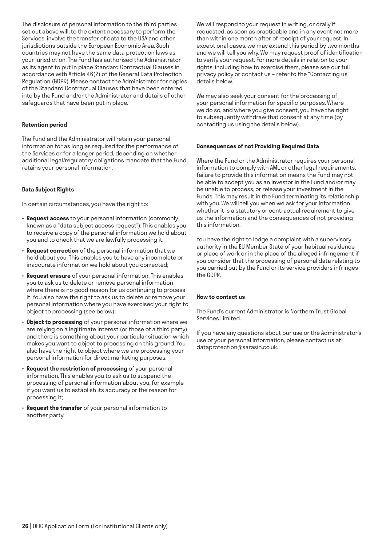The disclosure of personal information to the third parties set out above will, to the extent necessary to perform the Services, involve the transfer of data to the USA and other jurisdictions outside the European Economic Area. Such countries may not have the same data protection laws as your jurisdiction. The Fund has authorised the Administrator as its agent to put in place Standard Contractual Clauses in accordance with Article 46(2) of the General Data Protection Regulation (GDPR). Please contact the Administrator for copies of the Standard Contractual Clauses that have been entered into by the Fund and/or the Administrator and details of other safeguards that have been put in place.

#### **Retention period**

The Fund and the Administrator will retain your personal information for as long as required for the performance of the Services or for a longer period, depending on whether additional legal/regulatory obligations mandate that the Fund retains your personal information.

#### **Data Subject Rights**

In certain circumstances, you have the right to:

- **Request access** to your personal information (commonly known as a "data subject access request"). This enables you to receive a copy of the personal information we hold about you and to check that we are lawfully processing it;
- **Request correction** of the personal information that we hold about you. This enables you to have any incomplete or inaccurate information we hold about you corrected;
- **Request erasure** of your personal information. This enables you to ask us to delete or remove personal information where there is no good reason for us continuing to process it. You also have the right to ask us to delete or remove your personal information where you have exercised your right to object to processing (see below);
- **Object to processing** of your personal information where we are relying on a legitimate interest (or those of a third party) and there is something about your particular situation which makes you want to object to processing on this ground. You also have the right to object where we are processing your personal information for direct marketing purposes;
- **Request the restriction of processing** of your personal information. This enables you to ask us to suspend the processing of personal information about you, for example if you want us to establish its accuracy or the reason for processing it;
- **Request the transfer** of your personal information to another party.

We will respond to your request in writing, or orally if requested, as soon as practicable and in any event not more than within one month after of receipt of your request. In exceptional cases, we may extend this period by two months and we will tell you why. We may request proof of identification to verify your request. For more details in relation to your rights, including how to exercise them, please see our full privacy policy or contact us – refer to the "Contacting us" details below.

We may also seek your consent for the processing of your personal information for specific purposes. Where we do so, and where you give consent, you have the right to subsequently withdraw that consent at any time (by contacting us using the details below).

### **Consequences of not Providing Required Data**

Where the Fund or the Administrator requires your personal information to comply with AML or other legal requirements, failure to provide this information means the Fund may not be able to accept you as an investor in the Fund and/or may be unable to process, or release your investment in the Funds. This may result in the Fund terminating its relationship with you. We will tell you when we ask for your information whether it is a statutory or contractual requirement to give us the information and the consequences of not providing this information.

You have the right to lodge a complaint with a supervisory authority in the EU Member State of your habitual residence or place of work or in the place of the alleged infringement if you consider that the processing of personal data relating to you carried out by the Fund or its service providers infringes the GDPR.

#### **How to contact us**

The Fund's current Administrator is Northern Trust Global Services Limited.

If you have any questions about our use or the Administrator's use of your personal information, please contact us at dataprotection@sarasin.co.uk.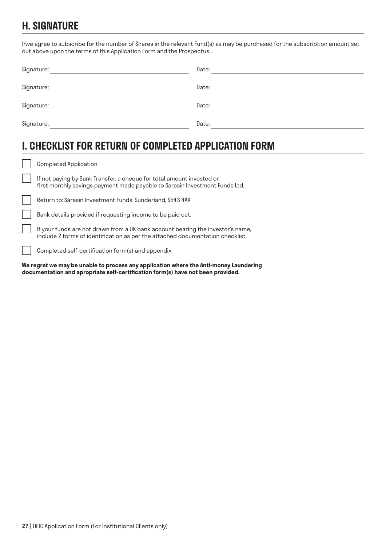# **H. SIGNATURE**

I/we agree to subscribe for the number of Shares in the relevant Fund(s) as may be purchased for the subscription amount set out above upon the terms of this Application Form and the Prospectus. .

| Signature: | Date: |
|------------|-------|
| Signature: | Date: |
|            |       |
| Signature: | Date: |
| Signature: | Date: |
|            |       |

# **I. CHECKLIST FOR RETURN OF COMPLETED APPLICATION FORM**

| Completed Application                                                                                                                                             |
|-------------------------------------------------------------------------------------------------------------------------------------------------------------------|
| If not paying by Bank Transfer, a cheque for total amount invested or<br>first monthly savings payment made payable to Sarasin Investment Funds Ltd.              |
| Return to: Sarasin Investment Funds, Sunderland, SR43 4AX                                                                                                         |
| Bank details provided if requesting income to be paid out.                                                                                                        |
| If your funds are not drawn from a UK bank account bearing the investor's name,<br>include 2 forms of identification as per the attached documentation checklist. |
| Completed self-certification form(s) and appendix                                                                                                                 |

**We regret we may be unable to process any application where the Anti-money Laundering documentation and apropriate self-certification form(s) have not been provided.**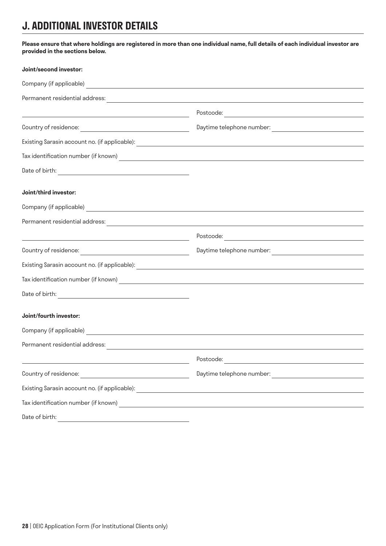# **J. ADDITIONAL INVESTOR DETAILS**

**Please ensure that where holdings are registered in more than one individual name, full details of each individual investor are provided in the sections below.**

| Joint/second investor:                                                                                                                        |                                                                                                                       |  |
|-----------------------------------------------------------------------------------------------------------------------------------------------|-----------------------------------------------------------------------------------------------------------------------|--|
|                                                                                                                                               |                                                                                                                       |  |
|                                                                                                                                               |                                                                                                                       |  |
|                                                                                                                                               |                                                                                                                       |  |
|                                                                                                                                               |                                                                                                                       |  |
|                                                                                                                                               | Existing Sarasin account no. (if applicable): __________________________________                                      |  |
|                                                                                                                                               |                                                                                                                       |  |
|                                                                                                                                               |                                                                                                                       |  |
| Joint/third investor:                                                                                                                         |                                                                                                                       |  |
|                                                                                                                                               |                                                                                                                       |  |
|                                                                                                                                               |                                                                                                                       |  |
| <u> 1989 - Johann Barn, fransk politik (d. 1989)</u>                                                                                          | Postcode:                                                                                                             |  |
|                                                                                                                                               |                                                                                                                       |  |
|                                                                                                                                               | Existing Sarasin account no. (if applicable): __________________________________                                      |  |
|                                                                                                                                               |                                                                                                                       |  |
|                                                                                                                                               |                                                                                                                       |  |
| Joint/fourth investor:                                                                                                                        |                                                                                                                       |  |
|                                                                                                                                               |                                                                                                                       |  |
| Permanent residential address:                                                                                                                | <u> 1989 - Johann Stoff, deutscher Stoff, der Stoff, der Stoff, der Stoff, der Stoff, der Stoff, der Stoff, der S</u> |  |
|                                                                                                                                               | Postcode:                                                                                                             |  |
| Country of residence:<br><u> 1980 - Jan Stein Stein Stein Stein Stein Stein Stein Stein Stein Stein Stein Stein Stein Stein Stein Stein S</u> | Daytime telephone number:                                                                                             |  |
| Existing Sarasin account no. (if applicable):                                                                                                 | <u> 1980 - Johann Stein, marwolaethau a bh</u>                                                                        |  |
| Tax identification number (if known)                                                                                                          | <u> 1989 - Johann Stein, mars an deus Amerikaansk kommunister (</u>                                                   |  |
| Date of birth:                                                                                                                                |                                                                                                                       |  |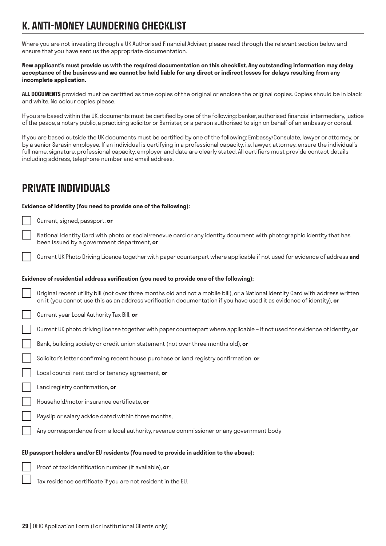# **K. ANTI-MONEY LAUNDERING CHECKLIST**

Where you are not investing through a UK Authorised Financial Adviser, please read through the relevant section below and ensure that you have sent us the appropriate documentation.

#### **New applicant's must provide us with the required documentation on this checklist. Any outstanding information may delay acceptance of the business and we cannot be held liable for any direct or indirect losses for delays resulting from any incomplete application.**

**ALL DOCUMENTS** provided must be certified as true copies of the original or enclose the original copies. Copies should be in black and white. No colour copies please.

If you are based within the UK, documents must be certified by one of the following: banker, authorised financial intermediary, justice of the peace, a notary public, a practicing solicitor or Barrister, or a person authorised to sign on behalf of an embassy or consul.

If you are based outside the UK documents must be certified by one of the following: Embassy/Consulate, lawyer or attorney, or by a senior Sarasin employee. If an individual is certifying in a professional capacity, i.e. lawyer, attorney, ensure the individual's full name, signature, professional capacity, employer and date are clearly stated. All certifiers must provide contact details including address, telephone number and email address.

# **PRIVATE INDIVIDUALS**

**Evidence of identity (You need to provide one of the following):**

Current, signed, passport, **or**

 National Identity Card with photo or social/renevue card or any identity document with photographic identity that has been issued by a government department, **or**

Current UK Photo Driving Licence together with paper counterpart where applicable if not used for evidence of address **and**

#### **Evidence of residential address verification (you need to provide one of the following):**

 Original recent utility bill (not over three months old and not a mobile bill), or a National Identity Card with address written on it (you cannot use this as an address verification documentation if you have used it as evidence of identity), **or**

Current year Local Authority Tax Bill, **or**

Current UK photo driving license together with paper counterpart where applicable – If not used for evidence of identity, **or**

Bank, building society or credit union statement (not over three months old), **or**

Solicitor's letter confirming recent house purchase or land registry confirmation, **or**

Local council rent card or tenancy agreement, **or**

Land registry confirmation, **or**

Household/motor insurance certificate, **or**

Payslip or salary advice dated within three months,

Any correspondence from a local authority, revenue commissioner or any government body

#### **EU passport holders and/or EU residents (You need to provide in addition to the above):**

Proof of tax identification number (if available), **or**

Tax residence certificate if you are not resident in the EU.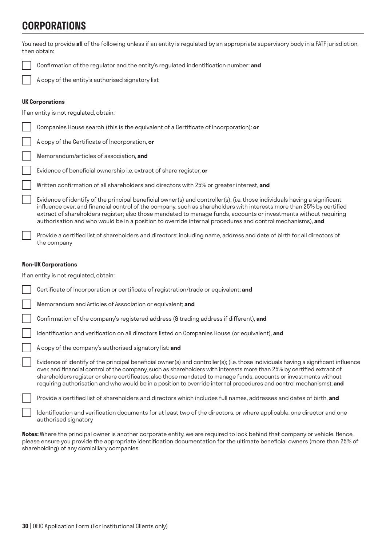# **CORPORATIONS**

| You need to provide all of the following unless if an entity is regulated by an appropriate supervisory body in a FATF jurisdiction,<br>then obtain:                                                                                                                                                                                                                                                                                                                                                     |
|----------------------------------------------------------------------------------------------------------------------------------------------------------------------------------------------------------------------------------------------------------------------------------------------------------------------------------------------------------------------------------------------------------------------------------------------------------------------------------------------------------|
| Confirmation of the regulator and the entity's regulated indentification number: and                                                                                                                                                                                                                                                                                                                                                                                                                     |
| A copy of the entity's authorised signatory list                                                                                                                                                                                                                                                                                                                                                                                                                                                         |
| <b>UK Corporations</b>                                                                                                                                                                                                                                                                                                                                                                                                                                                                                   |
| If an entity is not regulated, obtain:                                                                                                                                                                                                                                                                                                                                                                                                                                                                   |
| Companies House search (this is the equivalent of a Certificate of Incorporation): or                                                                                                                                                                                                                                                                                                                                                                                                                    |
| A copy of the Certificate of Incorporation, or                                                                                                                                                                                                                                                                                                                                                                                                                                                           |
| Memorandum/articles of association, and                                                                                                                                                                                                                                                                                                                                                                                                                                                                  |
| Evidence of beneficial ownership i.e. extract of share register, or                                                                                                                                                                                                                                                                                                                                                                                                                                      |
| Written confirmation of all shareholders and directors with 25% or greater interest, and                                                                                                                                                                                                                                                                                                                                                                                                                 |
| Evidence of identify of the principal beneficial owner(s) and controller(s); (i.e. those individuals having a significant<br>influence over, and financial control of the company, such as shareholders with interests more than 25% by certified<br>extract of shareholders register; also those mandated to manage funds, accounts or investments without requiring<br>authorisation and who would be in a position to override internal procedures and control mechanisms), and                       |
| Provide a certified list of shareholders and directors; including name, address and date of birth for all directors of<br>the company                                                                                                                                                                                                                                                                                                                                                                    |
| <b>Non-UK Corporations</b>                                                                                                                                                                                                                                                                                                                                                                                                                                                                               |
| If an entity is not regulated, obtain:                                                                                                                                                                                                                                                                                                                                                                                                                                                                   |
| Certificate of Incorporation or certificate of registration/trade or equivalent; and                                                                                                                                                                                                                                                                                                                                                                                                                     |
| Memorandum and Articles of Association or equivalent; and                                                                                                                                                                                                                                                                                                                                                                                                                                                |
| Confirmation of the company's registered address (& trading address if different), and                                                                                                                                                                                                                                                                                                                                                                                                                   |
| Identification and verification on all directors listed on Companies House (or equivalent), and                                                                                                                                                                                                                                                                                                                                                                                                          |
| A copy of the company's authorised signatory list: and                                                                                                                                                                                                                                                                                                                                                                                                                                                   |
| Evidence of identify of the principal beneficial owner(s) and controller(s); (i.e. those individuals having a significant influence<br>over, and financial control of the company, such as shareholders with interests more than 25% by certified extract of<br>shareholders register or share certificates; also those mandated to manage funds, accounts or investments without<br>requiring authorisation and who would be in a position to override internal procedures and control mechanisms); and |
| Provide a certified list of shareholders and directors which includes full names, addresses and dates of birth, and                                                                                                                                                                                                                                                                                                                                                                                      |
| Identification and verification documents for at least two of the directors, or where applicable, one director and one<br>authorised signatory                                                                                                                                                                                                                                                                                                                                                           |
| Notes: Where the principal owner is another corporate entity, we are required to look behind that company or vehicle. Hence,<br>please ensure you provide the appropriate identification documentation for the ultimate beneficial owners (more than 25% of<br>shareholding) of any domiciliary companies.                                                                                                                                                                                               |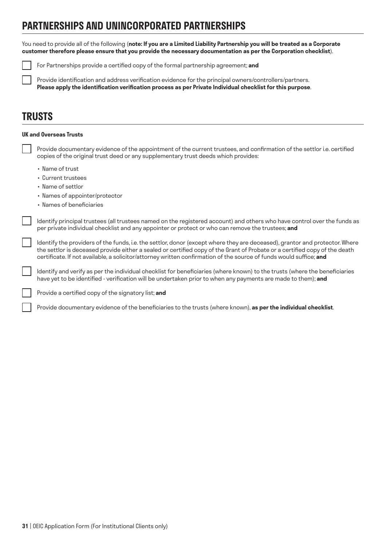# **PARTNERSHIPS AND UNINCORPORATED PARTNERSHIPS**

You need to provide all of the following (**note: If you are a Limited Liability Partnership you will be treated as a Corporate customer therefore please ensure that you provide the necessary documentation as per the Corporation checklist**).

For Partnerships provide a certified copy of the formal partnership agreement; **and**

 Provide identification and address verification evidence for the principal owners/controllers/partners. **Please apply the identification verification process as per Private Individual checklist for this purpose**.

# **TRUSTS**

### **UK and Overseas Trusts**

 Provide documentary evidence of the appointment of the current trustees, and confirmation of the settlor i.e. certified copies of the original trust deed or any supplementary trust deeds which provides:

- Name of trust
- Current trustees
- Name of settlor
- Names of appointer/protector
- Names of beneficiaries

 Identify principal trustees (all trustees named on the registered account) and others who have control over the funds as per private individual checklist and any appointer or protect or who can remove the trustees; **and**

 Identify the providers of the funds, i.e. the settlor, donor (except where they are deceased), grantor and protector. Where the settlor is deceased provide either a sealed or certified copy of the Grant of Probate or a certified copy of the death certificate. If not available, a solicitor/attorney written confirmation of the source of funds would suffice; **and**

 Identify and verify as per the individual checklist for beneficiaries (where known) to the trusts (where the beneficiaries have yet to be identified - verification will be undertaken prior to when any payments are made to them); **and**

Provide a certified copy of the signatory list; **and**

Provide documentary evidence of the beneficiaries to the trusts (where known), **as per the individual checklist**.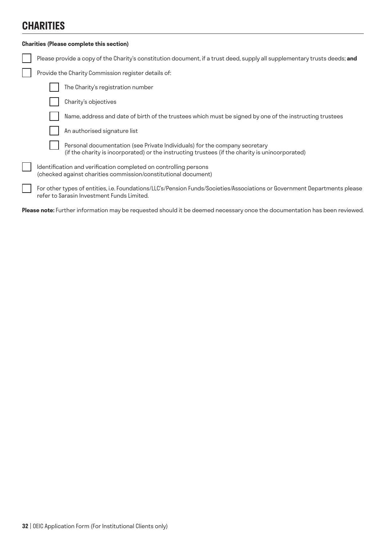### **CHARITIES**

| <b>Charities (Please complete this section)</b>                                                                                                                               |
|-------------------------------------------------------------------------------------------------------------------------------------------------------------------------------|
| Please provide a copy of the Charity's constitution document, if a trust deed, supply all supplementary trusts deeds; and                                                     |
| Provide the Charity Commission register details of:                                                                                                                           |
| The Charity's registration number                                                                                                                                             |
| Charity's objectives                                                                                                                                                          |
| Name, address and date of birth of the trustees which must be signed by one of the instructing trustees                                                                       |
| An authorised signature list                                                                                                                                                  |
| Personal documentation (see Private Individuals) for the company secretary<br>(if the charity is incorporated) or the instructing trustees (if the charity is unincorporated) |
| Identification and verification completed on controlling persons<br>(checked against charities commission/constitutional document)                                            |
| For other types of entities, i.e. Foundations/LLC's/Pension Funds/Societies/Associations or Government Departments please<br>refer to Sarasin Investment Funds Limited.       |

**Please note:** Further information may be requested should it be deemed necessary once the documentation has been reviewed.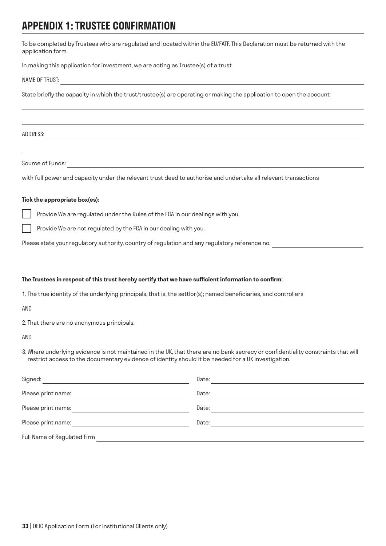# **APPENDIX 1: TRUSTEE CONFIRMATION**

| To be completed by Trustees who are regulated and located within the EU/FATF. This Declaration must be returned with the<br>application form.                                                                                                   |                                                                                                                                                                                                                                                                                                                                                                                                                                                                                                                          |  |  |  |  |
|-------------------------------------------------------------------------------------------------------------------------------------------------------------------------------------------------------------------------------------------------|--------------------------------------------------------------------------------------------------------------------------------------------------------------------------------------------------------------------------------------------------------------------------------------------------------------------------------------------------------------------------------------------------------------------------------------------------------------------------------------------------------------------------|--|--|--|--|
| In making this application for investment, we are acting as Trustee(s) of a trust                                                                                                                                                               |                                                                                                                                                                                                                                                                                                                                                                                                                                                                                                                          |  |  |  |  |
| NAME OF TRUST:<br><u> 1980 - Johann Barbara, martxa alemaniar argumento este alemaniar alemaniar alemaniar alemaniar alemaniar al</u>                                                                                                           |                                                                                                                                                                                                                                                                                                                                                                                                                                                                                                                          |  |  |  |  |
|                                                                                                                                                                                                                                                 | State briefly the capacity in which the trust/trustee(s) are operating or making the application to open the account:                                                                                                                                                                                                                                                                                                                                                                                                    |  |  |  |  |
|                                                                                                                                                                                                                                                 |                                                                                                                                                                                                                                                                                                                                                                                                                                                                                                                          |  |  |  |  |
|                                                                                                                                                                                                                                                 |                                                                                                                                                                                                                                                                                                                                                                                                                                                                                                                          |  |  |  |  |
| with full power and capacity under the relevant trust deed to authorise and undertake all relevant transactions                                                                                                                                 |                                                                                                                                                                                                                                                                                                                                                                                                                                                                                                                          |  |  |  |  |
| Tick the appropriate box(es):                                                                                                                                                                                                                   |                                                                                                                                                                                                                                                                                                                                                                                                                                                                                                                          |  |  |  |  |
| Provide We are regulated under the Rules of the FCA in our dealings with you.                                                                                                                                                                   |                                                                                                                                                                                                                                                                                                                                                                                                                                                                                                                          |  |  |  |  |
| Provide We are not regulated by the FCA in our dealing with you.                                                                                                                                                                                |                                                                                                                                                                                                                                                                                                                                                                                                                                                                                                                          |  |  |  |  |
| Please state your regulatory authority, country of regulation and any regulatory reference no.                                                                                                                                                  |                                                                                                                                                                                                                                                                                                                                                                                                                                                                                                                          |  |  |  |  |
| The Trustees in respect of this trust hereby certify that we have sufficient information to confirm:<br>1. The true identity of the underlying principals, that is, the settlor(s); named beneficiaries, and controllers                        |                                                                                                                                                                                                                                                                                                                                                                                                                                                                                                                          |  |  |  |  |
| AND                                                                                                                                                                                                                                             |                                                                                                                                                                                                                                                                                                                                                                                                                                                                                                                          |  |  |  |  |
| 2. That there are no anonymous principals;                                                                                                                                                                                                      |                                                                                                                                                                                                                                                                                                                                                                                                                                                                                                                          |  |  |  |  |
| AND<br>3. Where underlying evidence is not maintained in the UK, that there are no bank secrecy or confidentiality constraints that will<br>restrict access to the documentary evidence of identity should it be needed for a UK investigation. |                                                                                                                                                                                                                                                                                                                                                                                                                                                                                                                          |  |  |  |  |
|                                                                                                                                                                                                                                                 |                                                                                                                                                                                                                                                                                                                                                                                                                                                                                                                          |  |  |  |  |
|                                                                                                                                                                                                                                                 | ${\small \textsf{\textup{Date}}}:\underline{\hspace{2.5cm}}% \begin{minipage}{.4cm} \begin{tabular}{l cccccc} \hline \multicolumn{3}{c}{\textbf{Date}} & \multicolumn{3}{c}{\textbf{Date}} & \multicolumn{3}{c}{\textbf{Date}} & \multicolumn{3}{c}{\textbf{Date}} & \multicolumn{3}{c}{\textbf{Date}} & \multicolumn{3}{c}{\textbf{Date}} & \multicolumn{3}{c}{\textbf{Date}} & \multicolumn{3}{c}{\textbf{Date}} & \multicolumn{3}{c}{\textbf{Date}} & \multicolumn{3}{c}{\textbf{Date}} & \multicolumn{3}{c}{\textbf$ |  |  |  |  |
|                                                                                                                                                                                                                                                 | ${\small \textsf{\textup{Date}}}:\underline{\hspace{2.5cm}}% \begin{minipage}{.4cm} \begin{tabular}{l cccccc} \hline \multicolumn{3}{c }{\textbf{Date}} & \multicolumn{3}{c }{\textbf{Date}} & \multicolumn{3}{c }{\textbf{Date}} & \multicolumn{3}{c }{\textbf{Date}} & \multicolumn{3}{c }{\textbf{Date}} & \multicolumn{3}{c }{\textbf{Date}} & \multicolumn{3}{c }{\textbf{Date}} & \multicolumn{3}{c }{\textbf{Date}} & \multicolumn{3}{c }{\textbf{Date}} & \multicolumn{3}{c }{\textbf{Date}} & \mult$            |  |  |  |  |
|                                                                                                                                                                                                                                                 | Date:                                                                                                                                                                                                                                                                                                                                                                                                                                                                                                                    |  |  |  |  |
|                                                                                                                                                                                                                                                 |                                                                                                                                                                                                                                                                                                                                                                                                                                                                                                                          |  |  |  |  |
|                                                                                                                                                                                                                                                 |                                                                                                                                                                                                                                                                                                                                                                                                                                                                                                                          |  |  |  |  |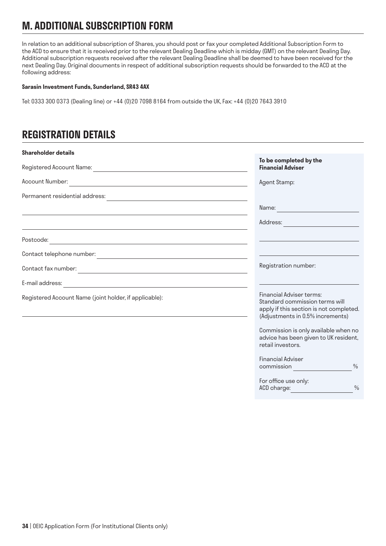# **M. ADDITIONAL SUBSCRIPTION FORM**

In relation to an additional subscription of Shares, you should post or fax your completed Additional Subscription Form to the ACD to ensure that it is received prior to the relevant Dealing Deadline which is midday (GMT) on the relevant Dealing Day. Additional subscription requests received after the relevant Dealing Deadline shall be deemed to have been received for the next Dealing Day. Original documents in respect of additional subscription requests should be forwarded to the ACD at the following address:

#### **Sarasin Investment Funds, Sunderland, SR43 4AX**

Tel: 0333 300 0373 (Dealing line) or +44 (0)20 7098 8164 from outside the UK, Fax: +44 (0)20 7643 3910

### **REGISTRATION DETAILS**

| Shareholder details                                                                                                                     |                                                                                                                                           |
|-----------------------------------------------------------------------------------------------------------------------------------------|-------------------------------------------------------------------------------------------------------------------------------------------|
|                                                                                                                                         | To be completed by the<br><b>Financial Adviser</b>                                                                                        |
| Account Number:<br><u> 1989 - Johann Stein, mars an deutscher Stein und der Stein und der Stein und der Stein und der Stein und der</u> | Agent Stamp:                                                                                                                              |
| Permanent residential address:<br><u> 1989 - Johann John Stein, fransk politik (</u>                                                    |                                                                                                                                           |
| and the control of the control of the control of the control of the control of the control of the control of the                        |                                                                                                                                           |
|                                                                                                                                         |                                                                                                                                           |
|                                                                                                                                         |                                                                                                                                           |
|                                                                                                                                         | and the state of the state of the state of the state of                                                                                   |
|                                                                                                                                         | Registration number:                                                                                                                      |
| E-mail address:<br><u> 1980 - Johann Barn, amerikan bestemannten bestemannten bestemannten bestemannten bestemannten bestemannten b</u> |                                                                                                                                           |
| Registered Account Name (joint holder, if applicable):                                                                                  | Financial Adviser terms:<br>Standard commission terms will<br>apply if this section is not completed.<br>(Adjustments in 0.5% increments) |
|                                                                                                                                         | Commission is only available when no<br>advice has been given to UK resident,<br>retail investors.                                        |
|                                                                                                                                         | <b>Financial Adviser</b><br>$\%$<br>commission                                                                                            |
|                                                                                                                                         | For office use only:<br>ACD charge:<br>$\%$                                                                                               |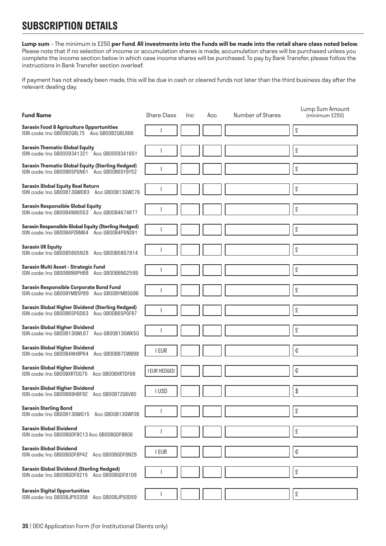# **SUBSCRIPTION DETAILS**

**Lump sum** – The minimum is £250 **per Fund**. **All investments into the Funds will be made into the retail share class noted below**. Please note that if no selection of income or accumulation shares is made, accumulation shares will be purchased unless you complete the income section below in which case income shares will be purchased. To pay by Bank Transfer, please follow the instructions in Bank Transfer section overleaf.

If payment has not already been made, this will be due in cash or cleared funds not later than the third business day after the relevant dealing day.

| <b>Fund Name</b>                                                                                    | <b>Share Class</b> | <b>Inc</b> | Acc | Number of Shares | Lump Sum Amount<br>(minimum £250) |
|-----------------------------------------------------------------------------------------------------|--------------------|------------|-----|------------------|-----------------------------------|
| Sarasin Food & Agriculture Opportunities<br>ISIN code: Inc GB00B208L75 Acc GB00B208L866             |                    |            |     |                  | £                                 |
| <b>Sarasin Thematic Global Equity</b><br>ISIN code: Inc GB0009341321 Acc GB0009341651               |                    |            |     |                  | £                                 |
| Sarasin Thematic Global Equity (Sterling Hedged)<br>ISIN code: Inc GB00B65PGN61 Acc GB00B65Y9Y52    |                    |            |     |                  | £                                 |
| Sarasin Global Equity Real Return<br>ISIN code: Inc GB00B13GWD83 Acc GB00B13GWC76                   |                    |            |     |                  | £                                 |
| Sarasin Responsible Global Equity<br>ISIN code: Inc GB00B4N86553 Acc GB00B4674R77                   |                    |            |     |                  | £                                 |
| Sarasin Responsible Global Equity (Sterling Hedged)<br>ISIN code: Inc GB00B4PZBM64 Acc GB00B4P6NS91 |                    |            |     |                  | £                                 |
| <b>Sarasin UK Equity</b><br>ISIN code: Inc GB00B58G5N28 Acc GB00B58G7814                            |                    |            |     |                  | £                                 |
| Sarasin Multi Asset - Strategic Fund<br>ISIN code: Inc GB00B8N8PH88 Acc GB00B8NG2599                |                    |            |     |                  | £                                 |
| Sarasin Responsible Corporate Bond Fund<br>ISIN code: Inc GB00BYMB5P89 Acc GB00BYMB5096             |                    |            |     |                  | £                                 |
| Sarasin Global Higher Dividend (Sterling Hedged)<br>ISIN code: Inc GB00B65PGD63 Acc GB00B65PGF87    |                    |            |     |                  | £                                 |
| Sarasin Global Higher Dividend<br>ISIN code: Inc GB00B13GWL67 Acc GB00B13GWK50                      |                    |            |     |                  | £                                 |
| Sarasin Global Higher Dividend<br>ISIN code: Inc GB00B4NH8P64 Acc GB00B87CWB98                      | <b>I EUR</b>       |            |     |                  | €                                 |
| Sarasin Global Higher Dividend<br>ISIN code: Inc GB00BXRTDG75 Acc GB00BXRTDF68                      | I EUR HEDGED       |            |     |                  | €                                 |
| Sarasin Global Higher Dividend<br>ISIN code: Inc GB00B89HBF92 Acc GB00B7ZQ8V80                      | I USD              |            |     |                  | \$                                |
| <b>Sarasin Sterling Bond</b><br>ISIN code: Inc GB00B13GWG15 Acc GB00B13GWF08                        |                    |            |     |                  | £                                 |
| <b>Sarasin Global Dividend</b><br>ISIN code: Inc GB00BGDF8C13 Acc GB00BGDF8B06                      |                    |            |     |                  | £                                 |
| <b>Sarasin Global Dividend</b><br>ISIN code: Inc GB00BGDF8P42 Acc GB00BGDF8N28                      | <b>I EUR</b>       |            |     |                  | €                                 |
| Sarasin Global Dividend (Sterling Hedged)<br>ISIN code: Inc GB00BGDF8215 Acc GB00BGDF8108           |                    |            |     |                  | £                                 |
| <b>Sarasin Digital Opportunities</b><br>ISIN code: Inc GB00BJP50358 Acc GB00BJP50D59                |                    |            |     |                  | £                                 |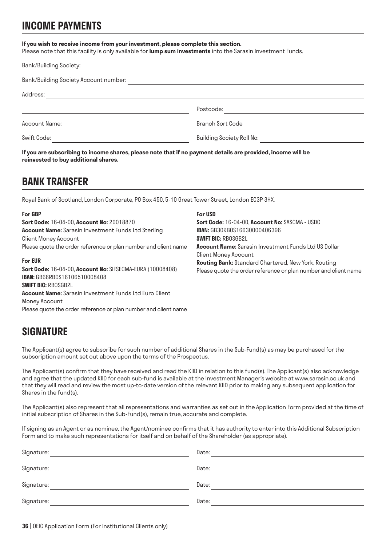# **INCOME PAYMENTS**

#### **If you wish to receive income from your investment, please complete this section.**

Please note that this facility is only available for **lump sum investments** into the Sarasin Investment Funds.

| Bank/Building Society:                |  |  |  |  |
|---------------------------------------|--|--|--|--|
| Bank/Building Society Account number: |  |  |  |  |
|                                       |  |  |  |  |
| Postcode:                             |  |  |  |  |
| Branch Sort Code                      |  |  |  |  |
| <b>Building Society Roll No:</b>      |  |  |  |  |
|                                       |  |  |  |  |

**If you are subscribing to income shares, please note that if no payment details are provided, income will be reinvested to buy additional shares.**

### **BANK TRANSFER**

Royal Bank of Scotland, London Corporate, PO Box 450, 5-10 Great Tower Street, London EC3P 3HX.

| For GBP                                                                     | For USD                                                                                                                                               |
|-----------------------------------------------------------------------------|-------------------------------------------------------------------------------------------------------------------------------------------------------|
| Sort Code: 16-04-00, Account No: 20018870                                   | Sort Code: 16-04-00, Account No: SASCMA - USDC                                                                                                        |
| Account Name: Sarasin Investment Funds Ltd Sterling                         | <b>IBAN: GB30RB0S16630000406396</b>                                                                                                                   |
| Client Money Account                                                        | <b>SWIFT BIC: RBOSGB2L</b>                                                                                                                            |
| Please quote the order reference or plan number and client name             | <b>Account Name:</b> Sarasin Investment Funds Ltd US Dollar                                                                                           |
| <b>For EUR</b><br>Sort Code: 16-04-00, Account No: SIFSECMA-EURA (10008408) | Client Money Account<br><b>Routing Bank:</b> Standard Chartered, New York, Routing<br>Please quote the order reference or plan number and client name |
| <b>IBAN: GB66RB0S16106510008408</b>                                         |                                                                                                                                                       |
| <b>SWIFT BIC: RBOSGB2L</b>                                                  |                                                                                                                                                       |
| Account Name: Sarasin Investment Funds Ltd Euro Client                      |                                                                                                                                                       |
| Money Account                                                               |                                                                                                                                                       |
| Please quote the order reference or plan number and client name             |                                                                                                                                                       |

# **SIGNATURE**

The Applicant(s) agree to subscribe for such number of additional Shares in the Sub-Fund(s) as may be purchased for the subscription amount set out above upon the terms of the Prospectus.

The Applicant(s) confirm that they have received and read the KIID in relation to this fund(s). The Applicant(s) also acknowledge and agree that the updated KIID for each sub-fund is available at the Investment Manager's website at www.sarasin.co.uk and that they will read and review the most up-to-date version of the relevant KIID prior to making any subsequent application for Shares in the fund(s).

The Applicant(s) also represent that all representations and warranties as set out in the Application Form provided at the time of initial subscription of Shares in the Sub-Fund(s), remain true, accurate and complete.

If signing as an Agent or as nominee, the Agent/nominee confirms that it has authority to enter into this Additional Subscription Form and to make such representations for itself and on behalf of the Shareholder (as appropriate).

| Signature: | Date: |
|------------|-------|
| Signature: | Date: |
| Signature: | Date: |
| Signature: | Date: |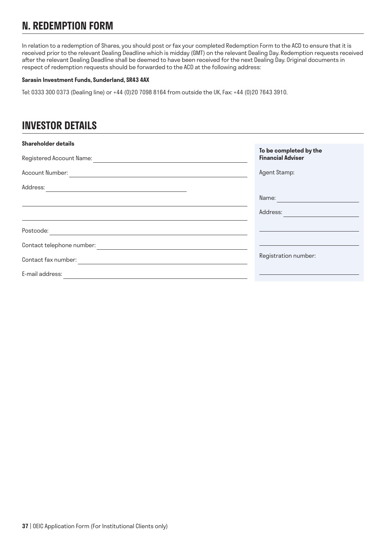# **N. REDEMPTION FORM**

In relation to a redemption of Shares, you should post or fax your completed Redemption Form to the ACD to ensure that it is received prior to the relevant Dealing Deadline which is midday (GMT) on the relevant Dealing Day. Redemption requests received after the relevant Dealing Deadline shall be deemed to have been received for the next Dealing Day. Original documents in respect of redemption requests should be forwarded to the ACD at the following address:

#### **Sarasin Investment Funds, Sunderland, SR43 4AX**

Tel: 0333 300 0373 (Dealing line) or +44 (0)20 7098 8164 from outside the UK, Fax: +44 (0)20 7643 3910.

### **INVESTOR DETAILS**

| Shareholder details       |                                                    |
|---------------------------|----------------------------------------------------|
| Registered Account Name:  | To be completed by the<br><b>Financial Adviser</b> |
| Account Number:           | Agent Stamp:                                       |
| Address:                  |                                                    |
|                           | Name:                                              |
|                           | Address:                                           |
| Postcode:                 |                                                    |
| Contact telephone number: |                                                    |
| Contact fax number:       | Registration number:                               |
| E-mail address:           |                                                    |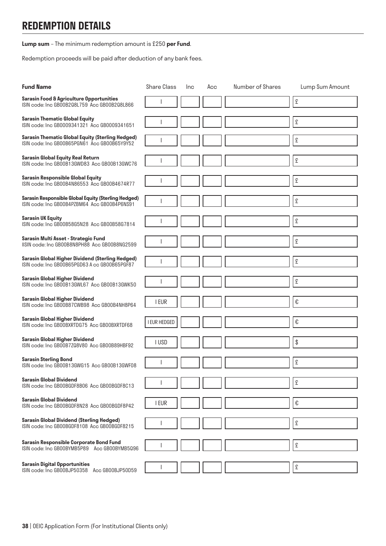# **REDEMPTION DETAILS**

**Lump sum** – The minimum redemption amount is £250 **per Fund**.

Redemption proceeds will be paid after deduction of any bank fees.

| <b>Fund Name</b>                                                                                    | Share Class         | <b>Inc</b> | Acc | Number of Shares | Lump Sum Amount |
|-----------------------------------------------------------------------------------------------------|---------------------|------------|-----|------------------|-----------------|
| Sarasin Food & Agriculture Opportunities<br>ISIN code: Inc GB00B208L759 Acc GB00B208L866            |                     |            |     |                  | £               |
| <b>Sarasin Thematic Global Equity</b><br>ISIN code: Inc GB0009341321 Acc GB0009341651               |                     |            |     |                  | £               |
| Sarasin Thematic Global Equity (Sterling Hedged)<br>ISIN code: Inc GB00B65PGN61 Acc GB00B65Y9Y52    |                     |            |     |                  | £               |
| Sarasin Global Equity Real Return<br>ISIN code: Inc GB00B13GWD83 Acc GB00B13GWC76                   |                     |            |     |                  | £               |
| Sarasin Responsible Global Equity<br>ISIN code: Inc GB00B4N86553 Acc GB00B4674R77                   |                     |            |     |                  | £               |
| Sarasin Responsible Global Equity (Sterling Hedged)<br>ISIN code: Inc GB00B4PZBM64 Acc GB00B4P6NS91 |                     |            |     |                  | £               |
| <b>Sarasin UK Equity</b><br>ISIN code: Inc GB00B58G5N28 Acc GB00B58G7814                            |                     |            |     |                  | £               |
| Sarasin Multi Asset - Strategic Fund<br>IISIN code: Inc GB00B8N8PH88 Acc GB00B8NG2599               |                     |            |     |                  | £               |
| Sarasin Global Higher Dividend (Sterling Hedged)<br>ISIN code: Inc GB00B65PGD63 A cc GB00B65PGF87   |                     |            |     |                  | £               |
| Sarasin Global Higher Dividend<br>ISIN code: Inc GB00B13GWL67 Acc GB00B13GWK50                      |                     |            |     |                  | £               |
| Sarasin Global Higher Dividend<br>ISIN code: Inc GB00B87CWB98 Acc GB00B4NH8P64                      | I EUR               |            |     |                  | €               |
| Sarasin Global Higher Dividend<br>ISIN code: Inc GB00BXRTDG75 Acc GB00BXRTDF68                      | <b>I EUR HEDGED</b> |            |     |                  | €               |
| Sarasin Global Higher Dividend<br>ISIN code: Inc GB00B7ZQ8V80 Acc GB00B89HBF92                      | <b>IUSD</b>         |            |     |                  | \$              |
| <b>Sarasin Sterling Bond</b><br>ISIN code: Inc GB00B13GWG15 Acc GB00B13GWF08                        |                     |            |     |                  | £               |
| <b>Sarasin Global Dividend</b><br>ISIN code: Inc GB00BGDF8B06 Acc GB00BGDF8C13                      |                     |            |     |                  | £               |
| Sarasin Global Dividend<br>ISIN code: Inc GB00BGDF8N28 Acc GB00BGDF8P42                             | <b>I EUR</b>        |            |     |                  | €               |
| Sarasin Global Dividend (Sterling Hedged)<br>ISIN code: Inc GB00BGDF8108 Acc GB00BGDF8215           |                     |            |     |                  | £               |
| Sarasin Responsible Corporate Bond Fund<br>ISIN code: Inc GB00BYMB5P89 Acc GB00BYMB5096             |                     |            |     |                  | £               |
| Sarasin Digital Opportunities<br>ISIN code: Inc GB00BJP50358 Acc GB00BJP50D59                       |                     |            |     |                  | £               |